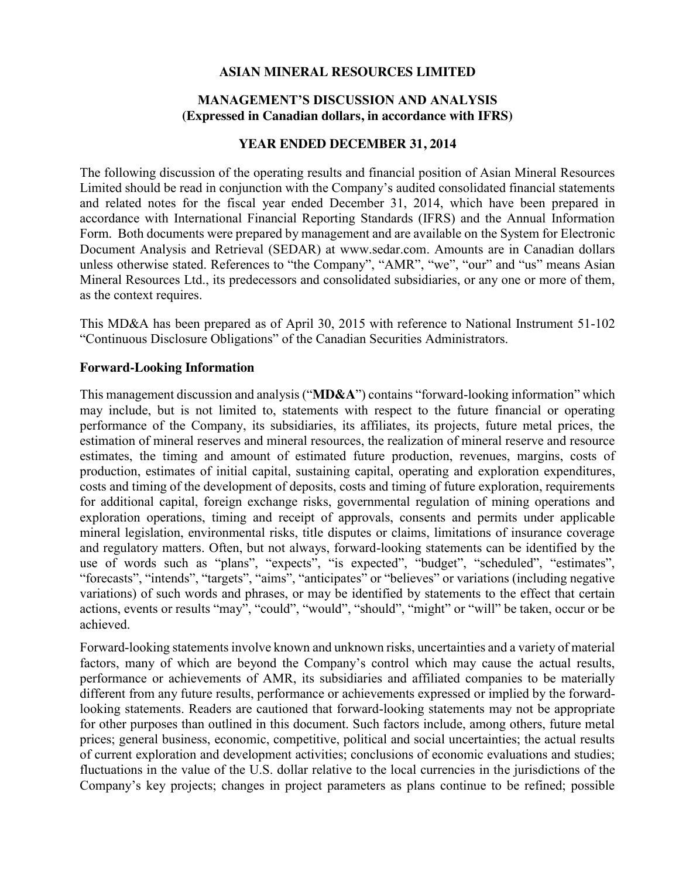### **ASIAN MINERAL RESOURCES LIMITED**

### **MANAGEMENT'S DISCUSSION AND ANALYSIS (Expressed in Canadian dollars, in accordance with IFRS)**

#### **YEAR ENDED DECEMBER 31, 2014**

The following discussion of the operating results and financial position of Asian Mineral Resources Limited should be read in conjunction with the Company's audited consolidated financial statements and related notes for the fiscal year ended December 31, 2014, which have been prepared in accordance with International Financial Reporting Standards (IFRS) and the Annual Information Form. Both documents were prepared by management and are available on the System for Electronic Document Analysis and Retrieval (SEDAR) at www.sedar.com. Amounts are in Canadian dollars unless otherwise stated. References to "the Company", "AMR", "we", "our" and "us" means Asian Mineral Resources Ltd., its predecessors and consolidated subsidiaries, or any one or more of them, as the context requires.

This MD&A has been prepared as of April 30, 2015 with reference to National Instrument 51-102 "Continuous Disclosure Obligations" of the Canadian Securities Administrators.

#### **Forward-Looking Information**

This management discussion and analysis ("**MD&A**") contains "forward-looking information" which may include, but is not limited to, statements with respect to the future financial or operating performance of the Company, its subsidiaries, its affiliates, its projects, future metal prices, the estimation of mineral reserves and mineral resources, the realization of mineral reserve and resource estimates, the timing and amount of estimated future production, revenues, margins, costs of production, estimates of initial capital, sustaining capital, operating and exploration expenditures, costs and timing of the development of deposits, costs and timing of future exploration, requirements for additional capital, foreign exchange risks, governmental regulation of mining operations and exploration operations, timing and receipt of approvals, consents and permits under applicable mineral legislation, environmental risks, title disputes or claims, limitations of insurance coverage and regulatory matters. Often, but not always, forward-looking statements can be identified by the use of words such as "plans", "expects", "is expected", "budget", "scheduled", "estimates", "forecasts", "intends", "targets", "aims", "anticipates" or "believes" or variations (including negative variations) of such words and phrases, or may be identified by statements to the effect that certain actions, events or results "may", "could", "would", "should", "might" or "will" be taken, occur or be achieved.

Forward-looking statements involve known and unknown risks, uncertainties and a variety of material factors, many of which are beyond the Company's control which may cause the actual results, performance or achievements of AMR, its subsidiaries and affiliated companies to be materially different from any future results, performance or achievements expressed or implied by the forwardlooking statements. Readers are cautioned that forward-looking statements may not be appropriate for other purposes than outlined in this document. Such factors include, among others, future metal prices; general business, economic, competitive, political and social uncertainties; the actual results of current exploration and development activities; conclusions of economic evaluations and studies; fluctuations in the value of the U.S. dollar relative to the local currencies in the jurisdictions of the Company's key projects; changes in project parameters as plans continue to be refined; possible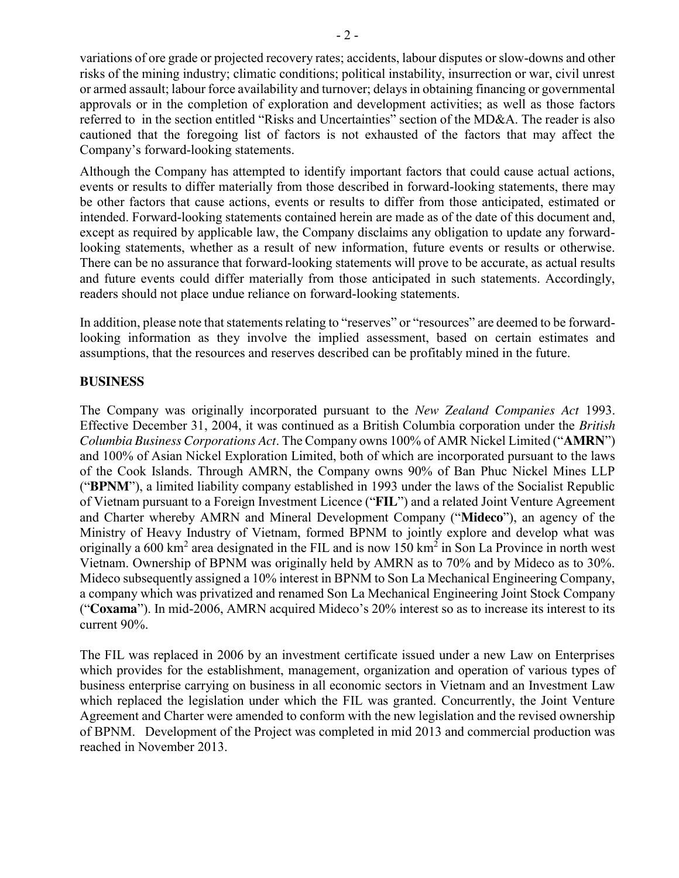variations of ore grade or projected recovery rates; accidents, labour disputes or slow-downs and other risks of the mining industry; climatic conditions; political instability, insurrection or war, civil unrest or armed assault; labour force availability and turnover; delays in obtaining financing or governmental approvals or in the completion of exploration and development activities; as well as those factors referred to in the section entitled "Risks and Uncertainties" section of the MD&A. The reader is also cautioned that the foregoing list of factors is not exhausted of the factors that may affect the Company's forward-looking statements.

Although the Company has attempted to identify important factors that could cause actual actions, events or results to differ materially from those described in forward-looking statements, there may be other factors that cause actions, events or results to differ from those anticipated, estimated or intended. Forward-looking statements contained herein are made as of the date of this document and, except as required by applicable law, the Company disclaims any obligation to update any forwardlooking statements, whether as a result of new information, future events or results or otherwise. There can be no assurance that forward-looking statements will prove to be accurate, as actual results and future events could differ materially from those anticipated in such statements. Accordingly, readers should not place undue reliance on forward-looking statements.

In addition, please note that statements relating to "reserves" or "resources" are deemed to be forwardlooking information as they involve the implied assessment, based on certain estimates and assumptions, that the resources and reserves described can be profitably mined in the future.

### **BUSINESS**

The Company was originally incorporated pursuant to the *New Zealand Companies Act* 1993. Effective December 31, 2004, it was continued as a British Columbia corporation under the *British Columbia Business Corporations Act*. The Company owns 100% of AMR Nickel Limited ("**AMRN**") and 100% of Asian Nickel Exploration Limited, both of which are incorporated pursuant to the laws of the Cook Islands. Through AMRN, the Company owns 90% of Ban Phuc Nickel Mines LLP ("**BPNM**"), a limited liability company established in 1993 under the laws of the Socialist Republic of Vietnam pursuant to a Foreign Investment Licence ("**FIL**") and a related Joint Venture Agreement and Charter whereby AMRN and Mineral Development Company ("**Mideco**"), an agency of the Ministry of Heavy Industry of Vietnam, formed BPNM to jointly explore and develop what was originally a 600 km<sup>2</sup> area designated in the FIL and is now 150 km<sup>2</sup> in Son La Province in north west Vietnam. Ownership of BPNM was originally held by AMRN as to 70% and by Mideco as to 30%. Mideco subsequently assigned a 10% interest in BPNM to Son La Mechanical Engineering Company, a company which was privatized and renamed Son La Mechanical Engineering Joint Stock Company ("**Coxama**"). In mid-2006, AMRN acquired Mideco's 20% interest so as to increase its interest to its current 90%.

The FIL was replaced in 2006 by an investment certificate issued under a new Law on Enterprises which provides for the establishment, management, organization and operation of various types of business enterprise carrying on business in all economic sectors in Vietnam and an Investment Law which replaced the legislation under which the FIL was granted. Concurrently, the Joint Venture Agreement and Charter were amended to conform with the new legislation and the revised ownership of BPNM. Development of the Project was completed in mid 2013 and commercial production was reached in November 2013.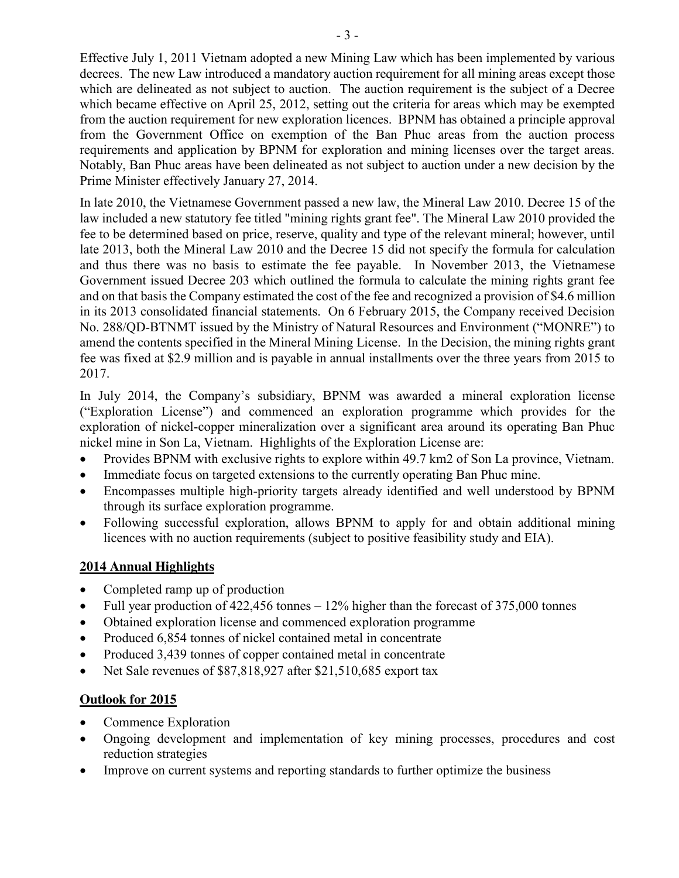Effective July 1, 2011 Vietnam adopted a new Mining Law which has been implemented by various decrees. The new Law introduced a mandatory auction requirement for all mining areas except those which are delineated as not subject to auction. The auction requirement is the subject of a Decree which became effective on April 25, 2012, setting out the criteria for areas which may be exempted from the auction requirement for new exploration licences. BPNM has obtained a principle approval from the Government Office on exemption of the Ban Phuc areas from the auction process requirements and application by BPNM for exploration and mining licenses over the target areas. Notably, Ban Phuc areas have been delineated as not subject to auction under a new decision by the Prime Minister effectively January 27, 2014.

In late 2010, the Vietnamese Government passed a new law, the Mineral Law 2010. Decree 15 of the law included a new statutory fee titled "mining rights grant fee". The Mineral Law 2010 provided the fee to be determined based on price, reserve, quality and type of the relevant mineral; however, until late 2013, both the Mineral Law 2010 and the Decree 15 did not specify the formula for calculation and thus there was no basis to estimate the fee payable. In November 2013, the Vietnamese Government issued Decree 203 which outlined the formula to calculate the mining rights grant fee and on that basis the Company estimated the cost of the fee and recognized a provision of \$4.6 million in its 2013 consolidated financial statements. On 6 February 2015, the Company received Decision No. 288/QD-BTNMT issued by the Ministry of Natural Resources and Environment ("MONRE") to amend the contents specified in the Mineral Mining License. In the Decision, the mining rights grant fee was fixed at \$2.9 million and is payable in annual installments over the three years from 2015 to 2017.

In July 2014, the Company's subsidiary, BPNM was awarded a mineral exploration license ("Exploration License") and commenced an exploration programme which provides for the exploration of nickel-copper mineralization over a significant area around its operating Ban Phuc nickel mine in Son La, Vietnam. Highlights of the Exploration License are:

- Provides BPNM with exclusive rights to explore within 49.7 km2 of Son La province, Vietnam.
- Immediate focus on targeted extensions to the currently operating Ban Phuc mine.
- Encompasses multiple high-priority targets already identified and well understood by BPNM through its surface exploration programme.
- Following successful exploration, allows BPNM to apply for and obtain additional mining licences with no auction requirements (subject to positive feasibility study and EIA).

## **2014 Annual Highlights**

- Completed ramp up of production
- Full year production of 422,456 tonnes  $-12\%$  higher than the forecast of 375,000 tonnes
- Obtained exploration license and commenced exploration programme
- Produced  $6,854$  tonnes of nickel contained metal in concentrate
- Produced 3,439 tonnes of copper contained metal in concentrate
- $\bullet$  Net Sale revenues of \$87,818,927 after \$21,510,685 export tax

## **Outlook for 2015**

- Commence Exploration
- Ongoing development and implementation of key mining processes, procedures and cost reduction strategies
- Improve on current systems and reporting standards to further optimize the business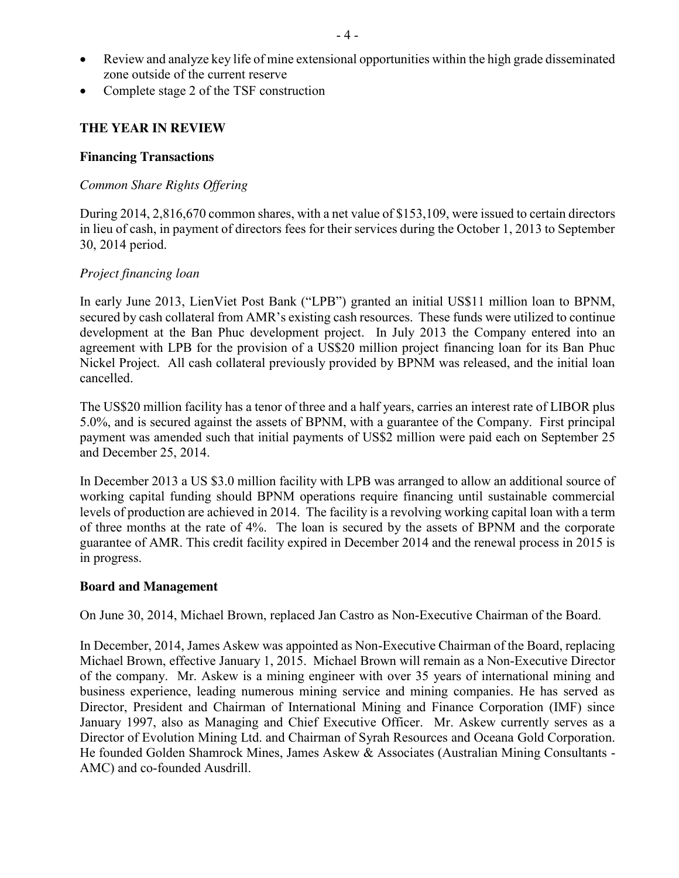- Review and analyze key life of mine extensional opportunities within the high grade disseminated zone outside of the current reserve
- Complete stage 2 of the TSF construction

### **THE YEAR IN REVIEW**

#### **Financing Transactions**

#### *Common Share Rights Offering*

During 2014, 2,816,670 common shares, with a net value of \$153,109, were issued to certain directors in lieu of cash, in payment of directors fees for their services during the October 1, 2013 to September 30, 2014 period.

### *Project financing loan*

In early June 2013, LienViet Post Bank ("LPB") granted an initial US\$11 million loan to BPNM, secured by cash collateral from AMR's existing cash resources. These funds were utilized to continue development at the Ban Phuc development project. In July 2013 the Company entered into an agreement with LPB for the provision of a US\$20 million project financing loan for its Ban Phuc Nickel Project. All cash collateral previously provided by BPNM was released, and the initial loan cancelled.

The US\$20 million facility has a tenor of three and a half years, carries an interest rate of LIBOR plus 5.0%, and is secured against the assets of BPNM, with a guarantee of the Company. First principal payment was amended such that initial payments of US\$2 million were paid each on September 25 and December 25, 2014.

In December 2013 a US \$3.0 million facility with LPB was arranged to allow an additional source of working capital funding should BPNM operations require financing until sustainable commercial levels of production are achieved in 2014. The facility is a revolving working capital loan with a term of three months at the rate of 4%. The loan is secured by the assets of BPNM and the corporate guarantee of AMR. This credit facility expired in December 2014 and the renewal process in 2015 is in progress.

#### **Board and Management**

On June 30, 2014, Michael Brown, replaced Jan Castro as Non-Executive Chairman of the Board.

In December, 2014, James Askew was appointed as Non-Executive Chairman of the Board, replacing Michael Brown, effective January 1, 2015. Michael Brown will remain as a Non-Executive Director of the company. Mr. Askew is a mining engineer with over 35 years of international mining and business experience, leading numerous mining service and mining companies. He has served as Director, President and Chairman of International Mining and Finance Corporation (IMF) since January 1997, also as Managing and Chief Executive Officer. Mr. Askew currently serves as a Director of Evolution Mining Ltd. and Chairman of Syrah Resources and Oceana Gold Corporation. He founded Golden Shamrock Mines, James Askew & Associates (Australian Mining Consultants - AMC) and co-founded Ausdrill.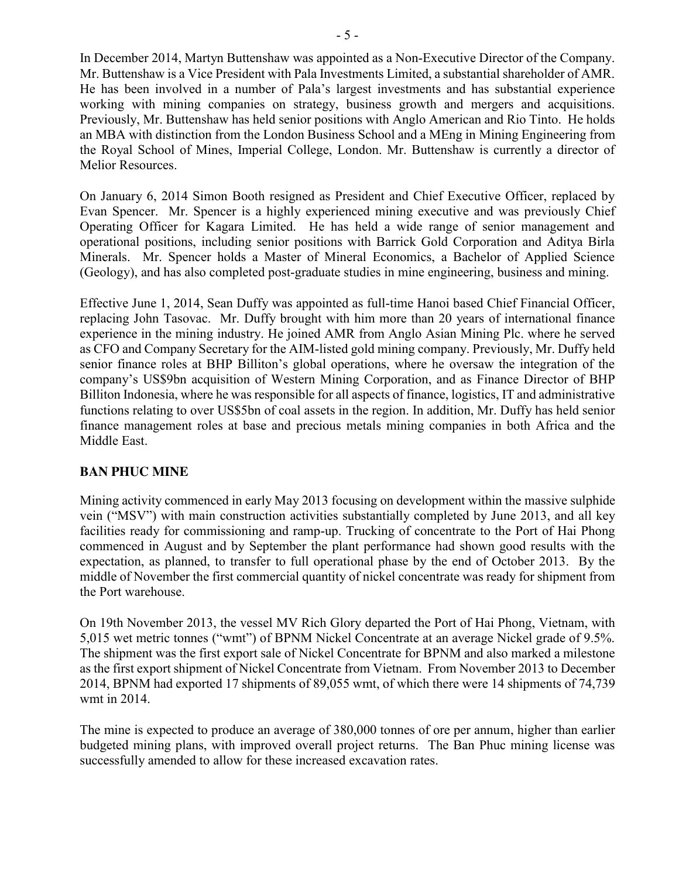In December 2014, Martyn Buttenshaw was appointed as a Non-Executive Director of the Company. Mr. Buttenshaw is a Vice President with Pala Investments Limited, a substantial shareholder of AMR. He has been involved in a number of Pala's largest investments and has substantial experience working with mining companies on strategy, business growth and mergers and acquisitions. Previously, Mr. Buttenshaw has held senior positions with Anglo American and Rio Tinto. He holds an MBA with distinction from the London Business School and a MEng in Mining Engineering from the Royal School of Mines, Imperial College, London. Mr. Buttenshaw is currently a director of Melior Resources.

On January 6, 2014 Simon Booth resigned as President and Chief Executive Officer, replaced by Evan Spencer. Mr. Spencer is a highly experienced mining executive and was previously Chief Operating Officer for Kagara Limited. He has held a wide range of senior management and operational positions, including senior positions with Barrick Gold Corporation and Aditya Birla Minerals. Mr. Spencer holds a Master of Mineral Economics, a Bachelor of Applied Science (Geology), and has also completed post-graduate studies in mine engineering, business and mining.

Effective June 1, 2014, Sean Duffy was appointed as full-time Hanoi based Chief Financial Officer, replacing John Tasovac. Mr. Duffy brought with him more than 20 years of international finance experience in the mining industry. He joined AMR from Anglo Asian Mining Plc. where he served as CFO and Company Secretary for the AIM-listed gold mining company. Previously, Mr. Duffy held senior finance roles at BHP Billiton's global operations, where he oversaw the integration of the company's US\$9bn acquisition of Western Mining Corporation, and as Finance Director of BHP Billiton Indonesia, where he was responsible for all aspects of finance, logistics, IT and administrative functions relating to over US\$5bn of coal assets in the region. In addition, Mr. Duffy has held senior finance management roles at base and precious metals mining companies in both Africa and the Middle East.

## **BAN PHUC MINE**

Mining activity commenced in early May 2013 focusing on development within the massive sulphide vein ("MSV") with main construction activities substantially completed by June 2013, and all key facilities ready for commissioning and ramp-up. Trucking of concentrate to the Port of Hai Phong commenced in August and by September the plant performance had shown good results with the expectation, as planned, to transfer to full operational phase by the end of October 2013. By the middle of November the first commercial quantity of nickel concentrate was ready for shipment from the Port warehouse.

On 19th November 2013, the vessel MV Rich Glory departed the Port of Hai Phong, Vietnam, with 5,015 wet metric tonnes ("wmt") of BPNM Nickel Concentrate at an average Nickel grade of 9.5%. The shipment was the first export sale of Nickel Concentrate for BPNM and also marked a milestone as the first export shipment of Nickel Concentrate from Vietnam. From November 2013 to December 2014, BPNM had exported 17 shipments of 89,055 wmt, of which there were 14 shipments of 74,739 wmt in 2014.

The mine is expected to produce an average of 380,000 tonnes of ore per annum, higher than earlier budgeted mining plans, with improved overall project returns. The Ban Phuc mining license was successfully amended to allow for these increased excavation rates.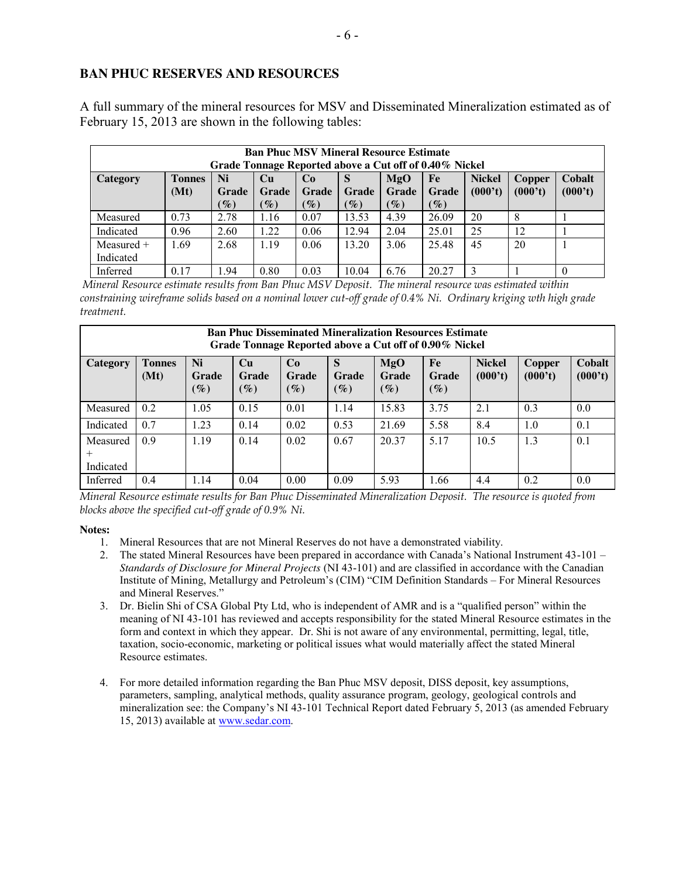### **BAN PHUC RESERVES AND RESOURCES**

| <b>Ban Phuc MSV Mineral Resource Estimate</b><br>Grade Tonnage Reported above a Cut off of 0.40% Nickel |                       |                                       |                                |                                |                               |                        |                                |                          |                          |                          |
|---------------------------------------------------------------------------------------------------------|-----------------------|---------------------------------------|--------------------------------|--------------------------------|-------------------------------|------------------------|--------------------------------|--------------------------|--------------------------|--------------------------|
| <b>Category</b>                                                                                         | <b>Tonnes</b><br>(Mt) | <b>Ni</b><br>Grade<br>$\mathscr{G}_o$ | Cu<br>Grade<br>$\mathscr{G}_o$ | Co<br>Grade<br>$\mathscr{G}_o$ | S<br>Grade<br>$\mathscr{G}_o$ | MgO<br>Grade<br>$(\%)$ | Fe<br>Grade<br>$\mathscr{G}_o$ | <b>Nickel</b><br>(000't) | <b>Copper</b><br>(000't) | <b>Cobalt</b><br>(000't) |
| Measured                                                                                                | 0.73                  | 2.78                                  | 1.16                           | 0.07                           | 13.53                         | 4.39                   | 26.09                          | 20                       | 8                        |                          |
| Indicated                                                                                               | 0.96                  | 2.60                                  | 1.22                           | 0.06                           | 12.94                         | 2.04                   | 25.01                          | 25                       | 12                       |                          |
| Measured $+$<br>Indicated                                                                               | .69                   | 2.68                                  | 1.19                           | 0.06                           | 13.20                         | 3.06                   | 25.48                          | 45                       | 20                       |                          |
| Inferred                                                                                                | 0.17                  | 1.94                                  | 0.80                           | 0.03                           | 10.04                         | 6.76                   | 20.27                          | $\mathcal{R}$            |                          |                          |

A full summary of the mineral resources for MSV and Disseminated Mineralization estimated as of February 15, 2013 are shown in the following tables:

*Mineral Resource estimate results from Ban Phuc MSV Deposit. The mineral resource was estimated within constraining wireframe solids based on a nominal lower cut-off grade of 0.4% Ni. Ordinary kriging wth high grade treatment.*

| <b>Ban Phuc Disseminated Mineralization Resources Estimate</b><br>Grade Tonnage Reported above a Cut off of 0.90% Nickel |                       |                       |                                |                              |                      |                        |                       |                          |                          |                   |
|--------------------------------------------------------------------------------------------------------------------------|-----------------------|-----------------------|--------------------------------|------------------------------|----------------------|------------------------|-----------------------|--------------------------|--------------------------|-------------------|
| <b>Category</b>                                                                                                          | <b>Tonnes</b><br>(Mt) | Ni<br>Grade<br>$(\%)$ | Cu<br>Grade<br>$\mathscr{G}_o$ | Co<br><b>Grade</b><br>$(\%)$ | S<br>Grade<br>$(\%)$ | MgO<br>Grade<br>$(\%)$ | Fe<br>Grade<br>$(\%)$ | <b>Nickel</b><br>(000't) | <b>Copper</b><br>(000't) | Cobalt<br>(000't) |
| Measured                                                                                                                 | 0.2                   | 1.05                  | 0.15                           | 0.01                         | 1.14                 | 15.83                  | 3.75                  | 2.1                      | 0.3                      | 0.0               |
| Indicated                                                                                                                | 0.7                   | 1.23                  | 0.14                           | 0.02                         | 0.53                 | 21.69                  | 5.58                  | 8.4                      | 1.0                      | 0.1               |
| Measured<br>$^{+}$<br>Indicated                                                                                          | 0.9                   | 1.19                  | 0.14                           | 0.02                         | 0.67                 | 20.37                  | 5.17                  | 10.5                     | 1.3                      | 0.1               |
| Inferred                                                                                                                 | 0.4                   | 1.14                  | 0.04                           | 0.00                         | 0.09                 | 5.93                   | 1.66                  | 4.4                      | 0.2                      | 0.0               |

*Mineral Resource estimate results for Ban Phuc Disseminated Mineralization Deposit. The resource is quoted from blocks above the specified cut-off grade of 0.9% Ni.*

#### **Notes:**

- 1. Mineral Resources that are not Mineral Reserves do not have a demonstrated viability.
- 2. The stated Mineral Resources have been prepared in accordance with Canada's National Instrument 43-101 *Standards of Disclosure for Mineral Projects* (NI 43-101) and are classified in accordance with the Canadian Institute of Mining, Metallurgy and Petroleum's (CIM) "CIM Definition Standards – For Mineral Resources and Mineral Reserves."
- 3. Dr. Bielin Shi of CSA Global Pty Ltd, who is independent of AMR and is a "qualified person" within the meaning of NI 43-101 has reviewed and accepts responsibility for the stated Mineral Resource estimates in the form and context in which they appear. Dr. Shi is not aware of any environmental, permitting, legal, title, taxation, socio-economic, marketing or political issues what would materially affect the stated Mineral Resource estimates.
- 4. For more detailed information regarding the Ban Phuc MSV deposit, DISS deposit, key assumptions, parameters, sampling, analytical methods, quality assurance program, geology, geological controls and mineralization see: the Company's NI 43-101 Technical Report dated February 5, 2013 (as amended February 15, 2013) available at [www.sedar.com.](http://www.sedar.com/)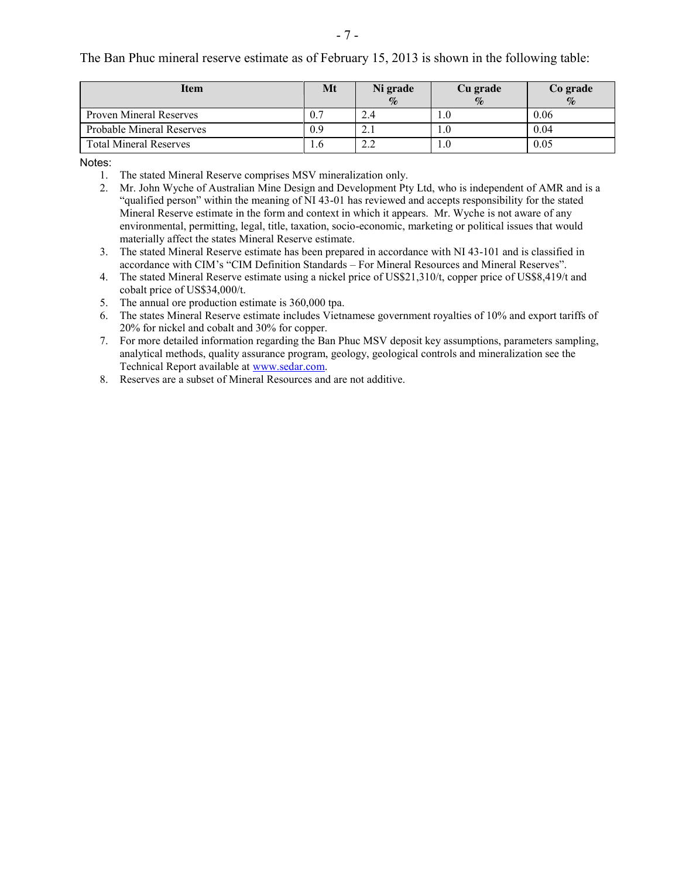- 7 -

| Item                             | Mt   | Ni grade<br>$\%$ | Cu grade<br>$\mathcal{O}_{\mathcal{O}}$ | Co grade<br>$\%$ |
|----------------------------------|------|------------------|-----------------------------------------|------------------|
| <b>Proven Mineral Reserves</b>   |      | 2.4              |                                         | 0.06             |
| <b>Probable Mineral Reserves</b> | 0.9  | 2.1              |                                         | 0.04             |
| <b>Total Mineral Reserves</b>    | . .O | $\Omega$<br>2.2  |                                         | 0.05             |

Notes:

1. The stated Mineral Reserve comprises MSV mineralization only.

2. Mr. John Wyche of Australian Mine Design and Development Pty Ltd, who is independent of AMR and is a "qualified person" within the meaning of NI 43-01 has reviewed and accepts responsibility for the stated Mineral Reserve estimate in the form and context in which it appears. Mr. Wyche is not aware of any environmental, permitting, legal, title, taxation, socio-economic, marketing or political issues that would materially affect the states Mineral Reserve estimate.

3. The stated Mineral Reserve estimate has been prepared in accordance with NI 43-101 and is classified in accordance with CIM's "CIM Definition Standards – For Mineral Resources and Mineral Reserves".

4. The stated Mineral Reserve estimate using a nickel price of US\$21,310/t, copper price of US\$8,419/t and cobalt price of US\$34,000/t.

5. The annual ore production estimate is 360,000 tpa.

6. The states Mineral Reserve estimate includes Vietnamese government royalties of 10% and export tariffs of 20% for nickel and cobalt and 30% for copper.

7. For more detailed information regarding the Ban Phuc MSV deposit key assumptions, parameters sampling, analytical methods, quality assurance program, geology, geological controls and mineralization see the Technical Report available at [www.sedar.com.](http://www.sedar.com/)

8. Reserves are a subset of Mineral Resources and are not additive.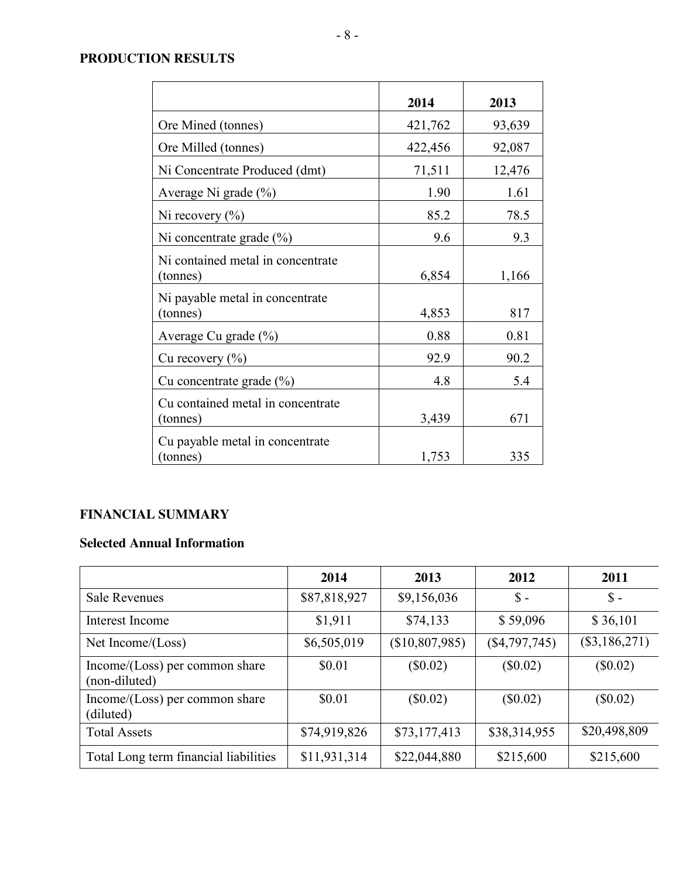|                                               | 2014    | 2013   |
|-----------------------------------------------|---------|--------|
| Ore Mined (tonnes)                            | 421,762 | 93,639 |
| Ore Milled (tonnes)                           | 422,456 | 92,087 |
| Ni Concentrate Produced (dmt)                 | 71,511  | 12,476 |
| Average Ni grade (%)                          | 1.90    | 1.61   |
| Ni recovery $(\% )$                           | 85.2    | 78.5   |
| Ni concentrate grade $(\% )$                  | 9.6     | 9.3    |
| Ni contained metal in concentrate<br>(tonnes) | 6,854   | 1,166  |
| Ni payable metal in concentrate<br>(tonnes)   | 4,853   | 817    |
| Average Cu grade (%)                          | 0.88    | 0.81   |
| Cu recovery $(\% )$                           | 92.9    | 90.2   |
| Cu concentrate grade $(\% )$                  | 4.8     | 5.4    |
| Cu contained metal in concentrate<br>(tonnes) | 3,439   | 671    |
| Cu payable metal in concentrate<br>(tonnes)   | 1,753   | 335    |

# **FINANCIAL SUMMARY**

## **Selected Annual Information**

|                                                   | 2014         | 2013           | 2012            | 2011            |
|---------------------------------------------------|--------------|----------------|-----------------|-----------------|
| <b>Sale Revenues</b>                              | \$87,818,927 | \$9,156,036    | $\mathsf S$ -   | $\mathbb{S}$ -  |
| Interest Income                                   | \$1,911      | \$74,133       | \$59,096        | \$36,101        |
| Net Income/(Loss)                                 | \$6,505,019  | (\$10,807,985) | $(\$4,797,745)$ | $(\$3,186,271)$ |
| $Income/(Loss)$ per common share<br>(non-diluted) | \$0.01       | $(\$0.02)$     | $(\$0.02)$      | $(\$0.02)$      |
| Income/(Loss) per common share<br>(diluted)       | \$0.01       | $(\$0.02)$     | $(\$0.02)$      | $(\$0.02)$      |
| <b>Total Assets</b>                               | \$74,919,826 | \$73,177,413   | \$38,314,955    | \$20,498,809    |
| Total Long term financial liabilities             | \$11,931,314 | \$22,044,880   | \$215,600       | \$215,600       |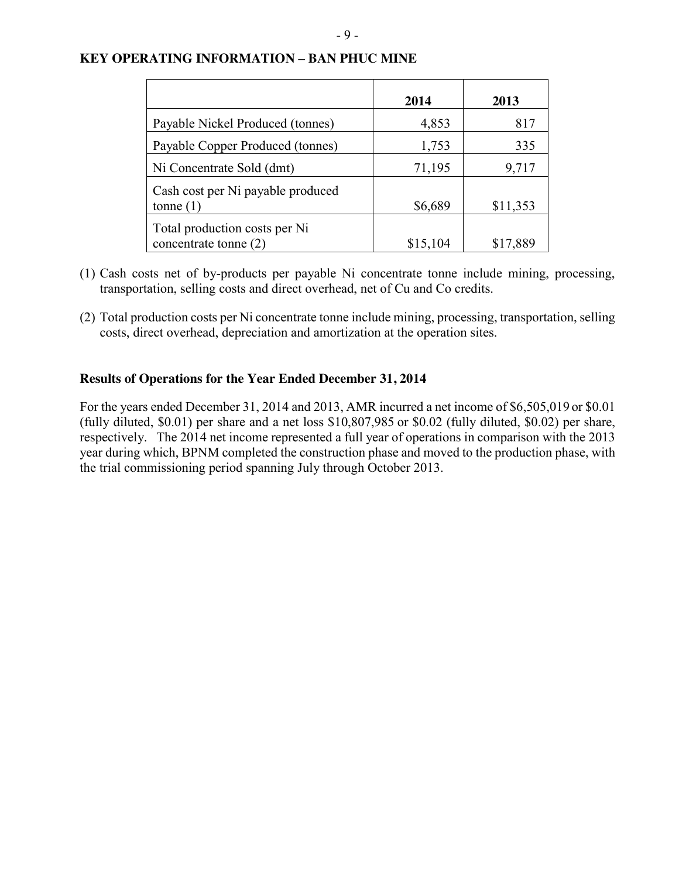|                                                        | 2014     | 2013     |
|--------------------------------------------------------|----------|----------|
| Payable Nickel Produced (tonnes)                       | 4,853    | 817      |
| Payable Copper Produced (tonnes)                       | 1,753    | 335      |
| Ni Concentrate Sold (dmt)                              | 71,195   | 9,717    |
| Cash cost per Ni payable produced<br>tonne $(1)$       | \$6,689  | \$11,353 |
| Total production costs per Ni<br>concentrate tonne (2) | \$15,104 | \$17,889 |

### **KEY OPERATING INFORMATION – BAN PHUC MINE**

- (1) Cash costs net of by-products per payable Ni concentrate tonne include mining, processing, transportation, selling costs and direct overhead, net of Cu and Co credits.
- (2) Total production costs per Ni concentrate tonne include mining, processing, transportation, selling costs, direct overhead, depreciation and amortization at the operation sites.

### **Results of Operations for the Year Ended December 31, 2014**

For the years ended December 31, 2014 and 2013, AMR incurred a net income of \$6,505,019 or \$0.01 (fully diluted, \$0.01) per share and a net loss \$10,807,985 or \$0.02 (fully diluted, \$0.02) per share, respectively. The 2014 net income represented a full year of operations in comparison with the 2013 year during which, BPNM completed the construction phase and moved to the production phase, with the trial commissioning period spanning July through October 2013.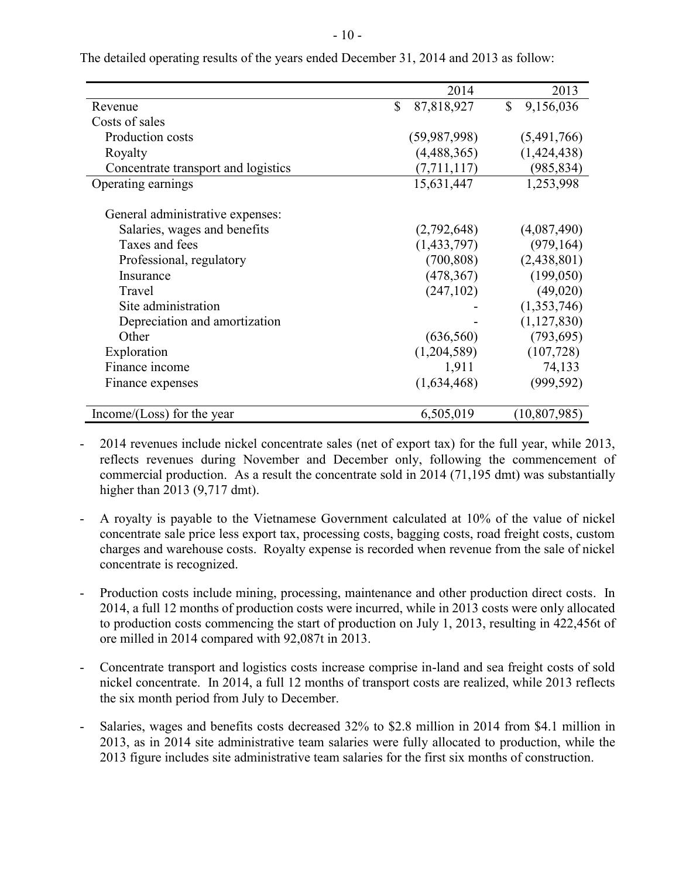|                                     | 2014             | 2013                      |
|-------------------------------------|------------------|---------------------------|
| Revenue                             | \$<br>87,818,927 | $\mathbb{S}$<br>9,156,036 |
| Costs of sales                      |                  |                           |
| Production costs                    | (59, 987, 998)   | (5,491,766)               |
| Royalty                             | (4,488,365)      | (1,424,438)               |
| Concentrate transport and logistics | (7, 711, 117)    | (985, 834)                |
| Operating earnings                  | 15,631,447       | 1,253,998                 |
|                                     |                  |                           |
| General administrative expenses:    |                  |                           |
| Salaries, wages and benefits        | (2,792,648)      | (4,087,490)               |
| Taxes and fees                      | (1, 433, 797)    | (979, 164)                |
| Professional, regulatory            | (700, 808)       | (2,438,801)               |
| Insurance                           | (478, 367)       | (199,050)                 |
| Travel                              | (247, 102)       | (49,020)                  |
| Site administration                 |                  | (1,353,746)               |
| Depreciation and amortization       |                  | (1, 127, 830)             |
| Other                               | (636, 560)       | (793, 695)                |
| Exploration                         | (1,204,589)      | (107, 728)                |
| Finance income                      | 1,911            | 74,133                    |
| Finance expenses                    | (1,634,468)      | (999, 592)                |
|                                     |                  |                           |
| $Income/(Loss)$ for the year        | 6,505,019        | (10, 807, 985)            |

The detailed operating results of the years ended December 31, 2014 and 2013 as follow:

- 2014 revenues include nickel concentrate sales (net of export tax) for the full year, while 2013, reflects revenues during November and December only, following the commencement of commercial production. As a result the concentrate sold in 2014 (71,195 dmt) was substantially higher than 2013 (9,717 dmt).
- A royalty is payable to the Vietnamese Government calculated at 10% of the value of nickel concentrate sale price less export tax, processing costs, bagging costs, road freight costs, custom charges and warehouse costs. Royalty expense is recorded when revenue from the sale of nickel concentrate is recognized.
- Production costs include mining, processing, maintenance and other production direct costs. In 2014, a full 12 months of production costs were incurred, while in 2013 costs were only allocated to production costs commencing the start of production on July 1, 2013, resulting in 422,456t of ore milled in 2014 compared with 92,087t in 2013.
- Concentrate transport and logistics costs increase comprise in-land and sea freight costs of sold nickel concentrate. In 2014, a full 12 months of transport costs are realized, while 2013 reflects the six month period from July to December.
- Salaries, wages and benefits costs decreased 32% to \$2.8 million in 2014 from \$4.1 million in 2013, as in 2014 site administrative team salaries were fully allocated to production, while the 2013 figure includes site administrative team salaries for the first six months of construction.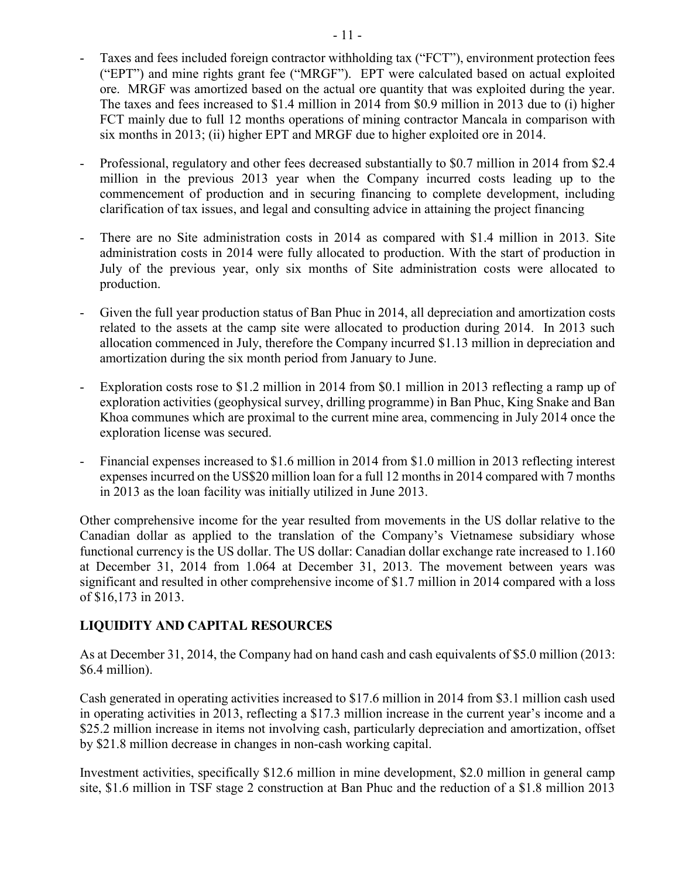- Taxes and fees included foreign contractor withholding tax ("FCT"), environment protection fees ("EPT") and mine rights grant fee ("MRGF"). EPT were calculated based on actual exploited ore. MRGF was amortized based on the actual ore quantity that was exploited during the year. The taxes and fees increased to \$1.4 million in 2014 from \$0.9 million in 2013 due to (i) higher FCT mainly due to full 12 months operations of mining contractor Mancala in comparison with six months in 2013; (ii) higher EPT and MRGF due to higher exploited ore in 2014.
- Professional, regulatory and other fees decreased substantially to \$0.7 million in 2014 from \$2.4 million in the previous 2013 year when the Company incurred costs leading up to the commencement of production and in securing financing to complete development, including clarification of tax issues, and legal and consulting advice in attaining the project financing
- There are no Site administration costs in 2014 as compared with \$1.4 million in 2013. Site administration costs in 2014 were fully allocated to production. With the start of production in July of the previous year, only six months of Site administration costs were allocated to production.
- Given the full year production status of Ban Phuc in 2014, all depreciation and amortization costs related to the assets at the camp site were allocated to production during 2014. In 2013 such allocation commenced in July, therefore the Company incurred \$1.13 million in depreciation and amortization during the six month period from January to June.
- Exploration costs rose to \$1.2 million in 2014 from \$0.1 million in 2013 reflecting a ramp up of exploration activities (geophysical survey, drilling programme) in Ban Phuc, King Snake and Ban Khoa communes which are proximal to the current mine area, commencing in July 2014 once the exploration license was secured.
- Financial expenses increased to \$1.6 million in 2014 from \$1.0 million in 2013 reflecting interest expenses incurred on the US\$20 million loan for a full 12 months in 2014 compared with 7 months in 2013 as the loan facility was initially utilized in June 2013.

Other comprehensive income for the year resulted from movements in the US dollar relative to the Canadian dollar as applied to the translation of the Company's Vietnamese subsidiary whose functional currency is the US dollar. The US dollar: Canadian dollar exchange rate increased to 1.160 at December 31, 2014 from 1.064 at December 31, 2013. The movement between years was significant and resulted in other comprehensive income of \$1.7 million in 2014 compared with a loss of \$16,173 in 2013.

## **LIQUIDITY AND CAPITAL RESOURCES**

As at December 31, 2014, the Company had on hand cash and cash equivalents of \$5.0 million (2013: \$6.4 million).

Cash generated in operating activities increased to \$17.6 million in 2014 from \$3.1 million cash used in operating activities in 2013, reflecting a \$17.3 million increase in the current year's income and a \$25.2 million increase in items not involving cash, particularly depreciation and amortization, offset by \$21.8 million decrease in changes in non-cash working capital.

Investment activities, specifically \$12.6 million in mine development, \$2.0 million in general camp site, \$1.6 million in TSF stage 2 construction at Ban Phuc and the reduction of a \$1.8 million 2013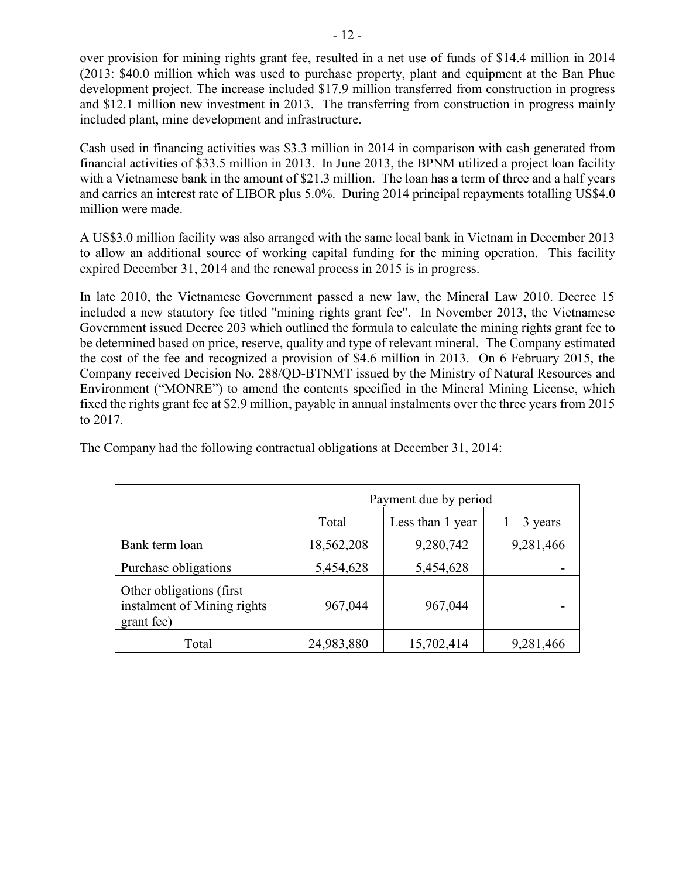over provision for mining rights grant fee, resulted in a net use of funds of \$14.4 million in 2014 (2013: \$40.0 million which was used to purchase property, plant and equipment at the Ban Phuc development project. The increase included \$17.9 million transferred from construction in progress and \$12.1 million new investment in 2013. The transferring from construction in progress mainly included plant, mine development and infrastructure.

Cash used in financing activities was \$3.3 million in 2014 in comparison with cash generated from financial activities of \$33.5 million in 2013. In June 2013, the BPNM utilized a project loan facility with a Vietnamese bank in the amount of \$21.3 million. The loan has a term of three and a half years and carries an interest rate of LIBOR plus 5.0%. During 2014 principal repayments totalling US\$4.0 million were made.

A US\$3.0 million facility was also arranged with the same local bank in Vietnam in December 2013 to allow an additional source of working capital funding for the mining operation. This facility expired December 31, 2014 and the renewal process in 2015 is in progress.

In late 2010, the Vietnamese Government passed a new law, the Mineral Law 2010. Decree 15 included a new statutory fee titled "mining rights grant fee". In November 2013, the Vietnamese Government issued Decree 203 which outlined the formula to calculate the mining rights grant fee to be determined based on price, reserve, quality and type of relevant mineral. The Company estimated the cost of the fee and recognized a provision of \$4.6 million in 2013. On 6 February 2015, the Company received Decision No. 288/QD-BTNMT issued by the Ministry of Natural Resources and Environment ("MONRE") to amend the contents specified in the Mineral Mining License, which fixed the rights grant fee at \$2.9 million, payable in annual instalments over the three years from 2015 to 2017.

|                                                                        | Payment due by period |                  |               |  |  |  |  |
|------------------------------------------------------------------------|-----------------------|------------------|---------------|--|--|--|--|
|                                                                        | Total                 | Less than 1 year | $1 - 3$ years |  |  |  |  |
| Bank term loan                                                         | 18,562,208            | 9,280,742        | 9,281,466     |  |  |  |  |
| Purchase obligations                                                   | 5,454,628             | 5,454,628        |               |  |  |  |  |
| Other obligations (first)<br>instalment of Mining rights<br>grant fee) | 967,044               | 967,044          |               |  |  |  |  |
| Total                                                                  | 24,983,880            | 15,702,414       | 9,281,466     |  |  |  |  |

The Company had the following contractual obligations at December 31, 2014: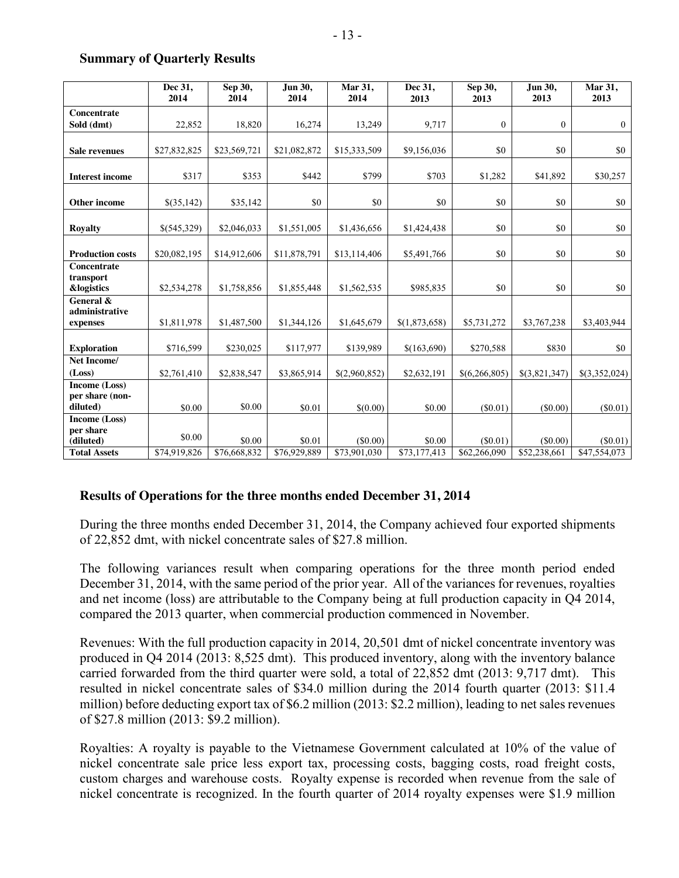|  |  | <b>Summary of Quarterly Results</b> |  |
|--|--|-------------------------------------|--|
|--|--|-------------------------------------|--|

|                             | Dec 31,<br>2014 | Sep 30,<br>2014 | Jun 30,<br>2014 | Mar 31,<br>2014 | Dec 31,<br>2013 | Sep 30,<br>2013 | Jun 30,<br>2013  | Mar 31,<br>2013  |
|-----------------------------|-----------------|-----------------|-----------------|-----------------|-----------------|-----------------|------------------|------------------|
| Concentrate                 |                 |                 |                 |                 |                 |                 |                  |                  |
| Sold (dmt)                  | 22,852          | 18,820          | 16,274          | 13,249          | 9,717           | $\mathbf{0}$    | $\boldsymbol{0}$ | $\boldsymbol{0}$ |
|                             |                 |                 |                 |                 |                 |                 |                  |                  |
| <b>Sale revenues</b>        | \$27,832,825    | \$23,569,721    | \$21,082,872    | \$15,333,509    | \$9,156,036     | \$0             | \$0              | \$0              |
|                             |                 |                 |                 |                 |                 |                 |                  |                  |
| <b>Interest income</b>      | \$317           | \$353           | \$442           | \$799           | \$703           | \$1,282         | \$41,892         | \$30,257         |
|                             |                 |                 |                 |                 |                 |                 |                  |                  |
| <b>Other income</b>         | \$(35,142)      | \$35,142        | \$0             | \$0             | \$0             | \$0             | \$0              | \$0              |
|                             |                 |                 |                 |                 |                 |                 |                  |                  |
| <b>Royalty</b>              | \$(545,329)     | \$2,046,033     | \$1,551,005     | \$1,436,656     | \$1,424,438     | \$0             | \$0              | \$0              |
|                             | \$20,082,195    | \$14,912,606    | \$11,878,791    |                 | \$5,491,766     | \$0             | \$0              | \$0              |
| <b>Production costs</b>     |                 |                 |                 | \$13,114,406    |                 |                 |                  |                  |
| Concentrate<br>transport    |                 |                 |                 |                 |                 |                 |                  |                  |
| <b>&amp;logistics</b>       | \$2,534,278     | \$1,758,856     | \$1,855,448     | \$1,562,535     | \$985,835       | \$0             | \$0              | \$0              |
| General &                   |                 |                 |                 |                 |                 |                 |                  |                  |
| administrative              |                 |                 |                 |                 |                 |                 |                  |                  |
| expenses                    | \$1,811,978     | \$1,487,500     | \$1,344,126     | \$1,645,679     | \$(1,873,658)   | \$5,731,272     | \$3,767,238      | \$3,403,944      |
|                             |                 |                 |                 |                 |                 |                 |                  |                  |
| <b>Exploration</b>          | \$716,599       | \$230,025       | \$117,977       | \$139,989       | \$(163,690)     | \$270,588       | \$830            | \$0              |
| Net Income/                 |                 |                 |                 |                 |                 |                 |                  |                  |
| (Loss)                      | \$2,761,410     | \$2,838,547     | \$3,865,914     | \$(2,960,852)   | \$2,632,191     | \$(6, 266, 805) | \$(3,821,347)    | \$(3,352,024)    |
| Income (Loss)               |                 |                 |                 |                 |                 |                 |                  |                  |
| per share (non-<br>diluted) |                 | \$0.00          |                 |                 |                 |                 |                  |                  |
| Income (Loss)               | \$0.00          |                 | \$0.01          | \$(0.00)        | \$0.00          | (S0.01)         | (S0.00)          | $(\$0.01)$       |
| per share                   |                 |                 |                 |                 |                 |                 |                  |                  |
| (diluted)                   | \$0.00          | \$0.00          | \$0.01          | (S0.00)         | \$0.00          | $(\$0.01)$      | $(\$0.00)$       | $(\$0.01)$       |
| <b>Total Assets</b>         | \$74,919,826    | \$76,668,832    | \$76,929,889    | \$73,901,030    | \$73,177,413    | \$62,266,090    | \$52,238,661     | \$47,554,073     |

# **Results of Operations for the three months ended December 31, 2014**

During the three months ended December 31, 2014, the Company achieved four exported shipments of 22,852 dmt, with nickel concentrate sales of \$27.8 million.

The following variances result when comparing operations for the three month period ended December 31, 2014, with the same period of the prior year. All of the variances for revenues, royalties and net income (loss) are attributable to the Company being at full production capacity in Q4 2014, compared the 2013 quarter, when commercial production commenced in November.

Revenues: With the full production capacity in 2014, 20,501 dmt of nickel concentrate inventory was produced in Q4 2014 (2013: 8,525 dmt). This produced inventory, along with the inventory balance carried forwarded from the third quarter were sold, a total of 22,852 dmt (2013: 9,717 dmt). This resulted in nickel concentrate sales of \$34.0 million during the 2014 fourth quarter (2013: \$11.4 million) before deducting export tax of \$6.2 million (2013: \$2.2 million), leading to net sales revenues of \$27.8 million (2013: \$9.2 million).

Royalties: A royalty is payable to the Vietnamese Government calculated at 10% of the value of nickel concentrate sale price less export tax, processing costs, bagging costs, road freight costs, custom charges and warehouse costs. Royalty expense is recorded when revenue from the sale of nickel concentrate is recognized. In the fourth quarter of 2014 royalty expenses were \$1.9 million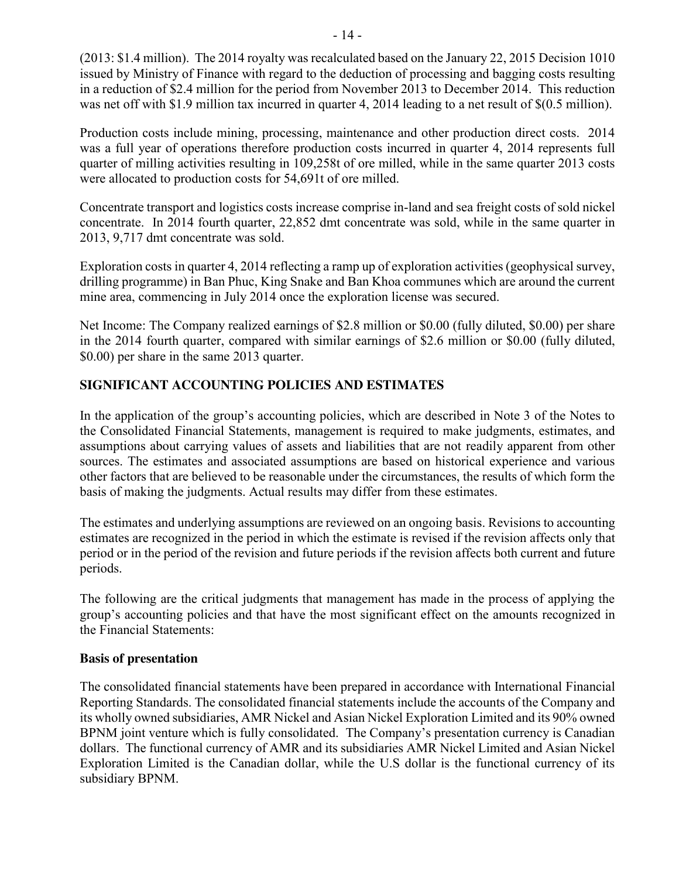(2013: \$1.4 million). The 2014 royalty was recalculated based on the January 22, 2015 Decision 1010 issued by Ministry of Finance with regard to the deduction of processing and bagging costs resulting in a reduction of \$2.4 million for the period from November 2013 to December 2014. This reduction was net off with \$1.9 million tax incurred in quarter 4, 2014 leading to a net result of  $$(0.5 \text{ million})$ .

Production costs include mining, processing, maintenance and other production direct costs. 2014 was a full year of operations therefore production costs incurred in quarter 4, 2014 represents full quarter of milling activities resulting in 109,258t of ore milled, while in the same quarter 2013 costs were allocated to production costs for 54,691t of ore milled.

Concentrate transport and logistics costs increase comprise in-land and sea freight costs of sold nickel concentrate. In 2014 fourth quarter, 22,852 dmt concentrate was sold, while in the same quarter in 2013, 9,717 dmt concentrate was sold.

Exploration costs in quarter 4, 2014 reflecting a ramp up of exploration activities (geophysical survey, drilling programme) in Ban Phuc, King Snake and Ban Khoa communes which are around the current mine area, commencing in July 2014 once the exploration license was secured.

Net Income: The Company realized earnings of \$2.8 million or \$0.00 (fully diluted, \$0.00) per share in the 2014 fourth quarter, compared with similar earnings of \$2.6 million or \$0.00 (fully diluted, \$0.00) per share in the same 2013 quarter.

## **SIGNIFICANT ACCOUNTING POLICIES AND ESTIMATES**

In the application of the group's accounting policies, which are described in Note 3 of the Notes to the Consolidated Financial Statements, management is required to make judgments, estimates, and assumptions about carrying values of assets and liabilities that are not readily apparent from other sources. The estimates and associated assumptions are based on historical experience and various other factors that are believed to be reasonable under the circumstances, the results of which form the basis of making the judgments. Actual results may differ from these estimates.

The estimates and underlying assumptions are reviewed on an ongoing basis. Revisions to accounting estimates are recognized in the period in which the estimate is revised if the revision affects only that period or in the period of the revision and future periods if the revision affects both current and future periods.

The following are the critical judgments that management has made in the process of applying the group's accounting policies and that have the most significant effect on the amounts recognized in the Financial Statements:

## **Basis of presentation**

The consolidated financial statements have been prepared in accordance with International Financial Reporting Standards. The consolidated financial statements include the accounts of the Company and its wholly owned subsidiaries, AMR Nickel and Asian Nickel Exploration Limited and its 90% owned BPNM joint venture which is fully consolidated. The Company's presentation currency is Canadian dollars. The functional currency of AMR and its subsidiaries AMR Nickel Limited and Asian Nickel Exploration Limited is the Canadian dollar, while the U.S dollar is the functional currency of its subsidiary BPNM.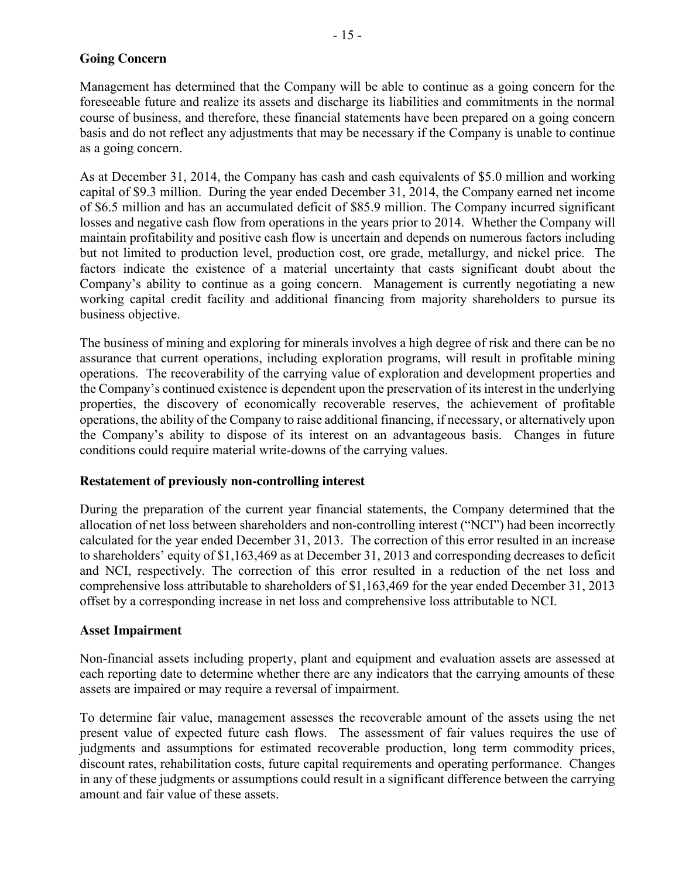### **Going Concern**

Management has determined that the Company will be able to continue as a going concern for the foreseeable future and realize its assets and discharge its liabilities and commitments in the normal course of business, and therefore, these financial statements have been prepared on a going concern basis and do not reflect any adjustments that may be necessary if the Company is unable to continue as a going concern.

As at December 31, 2014, the Company has cash and cash equivalents of \$5.0 million and working capital of \$9.3 million. During the year ended December 31, 2014, the Company earned net income of \$6.5 million and has an accumulated deficit of \$85.9 million. The Company incurred significant losses and negative cash flow from operations in the years prior to 2014. Whether the Company will maintain profitability and positive cash flow is uncertain and depends on numerous factors including but not limited to production level, production cost, ore grade, metallurgy, and nickel price. The factors indicate the existence of a material uncertainty that casts significant doubt about the Company's ability to continue as a going concern. Management is currently negotiating a new working capital credit facility and additional financing from majority shareholders to pursue its business objective.

The business of mining and exploring for minerals involves a high degree of risk and there can be no assurance that current operations, including exploration programs, will result in profitable mining operations. The recoverability of the carrying value of exploration and development properties and the Company's continued existence is dependent upon the preservation of its interest in the underlying properties, the discovery of economically recoverable reserves, the achievement of profitable operations, the ability of the Company to raise additional financing, if necessary, or alternatively upon the Company's ability to dispose of its interest on an advantageous basis. Changes in future conditions could require material write-downs of the carrying values.

### **Restatement of previously non-controlling interest**

During the preparation of the current year financial statements, the Company determined that the allocation of net loss between shareholders and non-controlling interest ("NCI") had been incorrectly calculated for the year ended December 31, 2013. The correction of this error resulted in an increase to shareholders' equity of \$1,163,469 as at December 31, 2013 and corresponding decreases to deficit and NCI, respectively. The correction of this error resulted in a reduction of the net loss and comprehensive loss attributable to shareholders of \$1,163,469 for the year ended December 31, 2013 offset by a corresponding increase in net loss and comprehensive loss attributable to NCI.

### **Asset Impairment**

Non-financial assets including property, plant and equipment and evaluation assets are assessed at each reporting date to determine whether there are any indicators that the carrying amounts of these assets are impaired or may require a reversal of impairment.

To determine fair value, management assesses the recoverable amount of the assets using the net present value of expected future cash flows. The assessment of fair values requires the use of judgments and assumptions for estimated recoverable production, long term commodity prices, discount rates, rehabilitation costs, future capital requirements and operating performance. Changes in any of these judgments or assumptions could result in a significant difference between the carrying amount and fair value of these assets.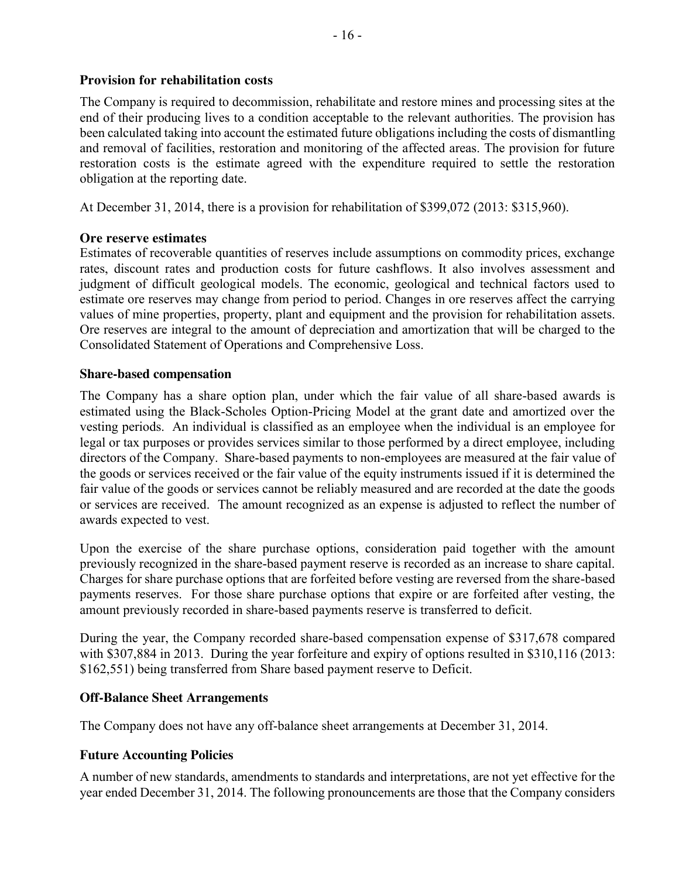### **Provision for rehabilitation costs**

The Company is required to decommission, rehabilitate and restore mines and processing sites at the end of their producing lives to a condition acceptable to the relevant authorities. The provision has been calculated taking into account the estimated future obligations including the costs of dismantling and removal of facilities, restoration and monitoring of the affected areas. The provision for future restoration costs is the estimate agreed with the expenditure required to settle the restoration obligation at the reporting date.

At December 31, 2014, there is a provision for rehabilitation of \$399,072 (2013: \$315,960).

### **Ore reserve estimates**

Estimates of recoverable quantities of reserves include assumptions on commodity prices, exchange rates, discount rates and production costs for future cashflows. It also involves assessment and judgment of difficult geological models. The economic, geological and technical factors used to estimate ore reserves may change from period to period. Changes in ore reserves affect the carrying values of mine properties, property, plant and equipment and the provision for rehabilitation assets. Ore reserves are integral to the amount of depreciation and amortization that will be charged to the Consolidated Statement of Operations and Comprehensive Loss.

### **Share-based compensation**

The Company has a share option plan, under which the fair value of all share-based awards is estimated using the Black-Scholes Option-Pricing Model at the grant date and amortized over the vesting periods. An individual is classified as an employee when the individual is an employee for legal or tax purposes or provides services similar to those performed by a direct employee, including directors of the Company. Share-based payments to non-employees are measured at the fair value of the goods or services received or the fair value of the equity instruments issued if it is determined the fair value of the goods or services cannot be reliably measured and are recorded at the date the goods or services are received. The amount recognized as an expense is adjusted to reflect the number of awards expected to vest.

Upon the exercise of the share purchase options, consideration paid together with the amount previously recognized in the share-based payment reserve is recorded as an increase to share capital. Charges for share purchase options that are forfeited before vesting are reversed from the share-based payments reserves. For those share purchase options that expire or are forfeited after vesting, the amount previously recorded in share-based payments reserve is transferred to deficit.

During the year, the Company recorded share-based compensation expense of \$317,678 compared with \$307,884 in 2013. During the year forfeiture and expiry of options resulted in \$310,116 (2013: \$162,551) being transferred from Share based payment reserve to Deficit.

### **Off-Balance Sheet Arrangements**

The Company does not have any off-balance sheet arrangements at December 31, 2014.

## **Future Accounting Policies**

A number of new standards, amendments to standards and interpretations, are not yet effective for the year ended December 31, 2014. The following pronouncements are those that the Company considers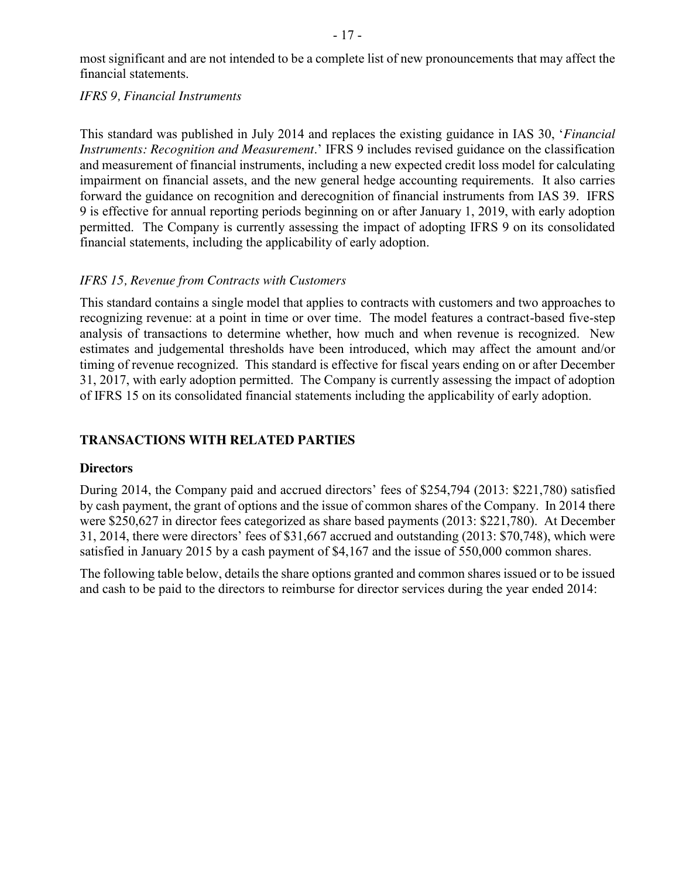most significant and are not intended to be a complete list of new pronouncements that may affect the financial statements.

### *IFRS 9, Financial Instruments*

This standard was published in July 2014 and replaces the existing guidance in IAS 30, '*Financial Instruments: Recognition and Measurement*.' IFRS 9 includes revised guidance on the classification and measurement of financial instruments, including a new expected credit loss model for calculating impairment on financial assets, and the new general hedge accounting requirements. It also carries forward the guidance on recognition and derecognition of financial instruments from IAS 39. IFRS 9 is effective for annual reporting periods beginning on or after January 1, 2019, with early adoption permitted. The Company is currently assessing the impact of adopting IFRS 9 on its consolidated financial statements, including the applicability of early adoption.

## *IFRS 15, Revenue from Contracts with Customers*

This standard contains a single model that applies to contracts with customers and two approaches to recognizing revenue: at a point in time or over time. The model features a contract-based five-step analysis of transactions to determine whether, how much and when revenue is recognized. New estimates and judgemental thresholds have been introduced, which may affect the amount and/or timing of revenue recognized. This standard is effective for fiscal years ending on or after December 31, 2017, with early adoption permitted. The Company is currently assessing the impact of adoption of IFRS 15 on its consolidated financial statements including the applicability of early adoption.

## **TRANSACTIONS WITH RELATED PARTIES**

## **Directors**

During 2014, the Company paid and accrued directors' fees of \$254,794 (2013: \$221,780) satisfied by cash payment, the grant of options and the issue of common shares of the Company. In 2014 there were \$250,627 in director fees categorized as share based payments (2013: \$221,780). At December 31, 2014, there were directors' fees of \$31,667 accrued and outstanding (2013: \$70,748), which were satisfied in January 2015 by a cash payment of \$4,167 and the issue of 550,000 common shares.

The following table below, details the share options granted and common shares issued or to be issued and cash to be paid to the directors to reimburse for director services during the year ended 2014: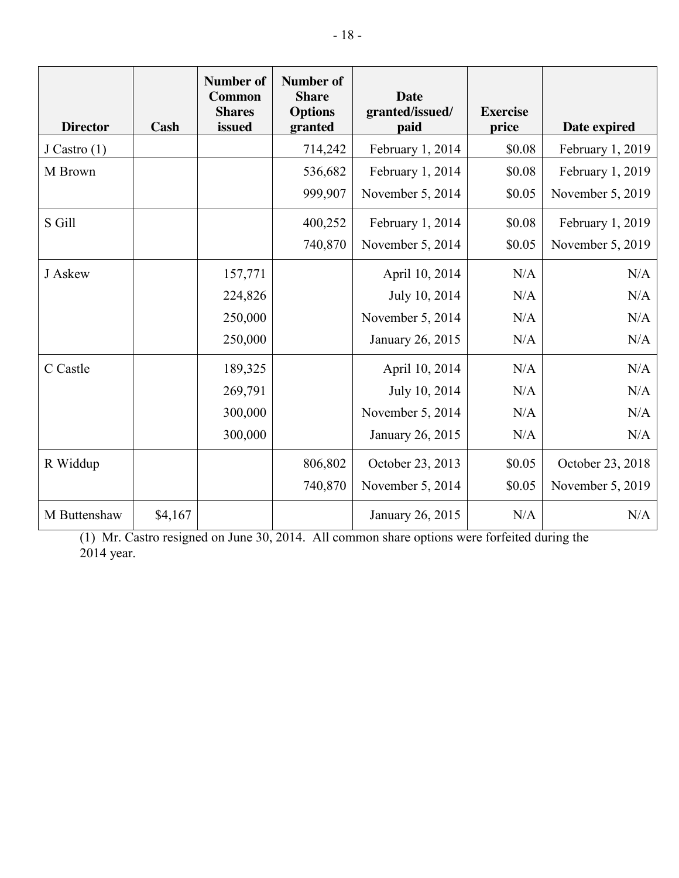| <b>Director</b>  | Cash    | <b>Number</b> of<br><b>Common</b><br><b>Shares</b><br>issued | <b>Number of</b><br><b>Share</b><br><b>Options</b><br>granted | <b>Date</b><br>granted/issued/<br>paid | <b>Exercise</b><br>price | Date expired     |
|------------------|---------|--------------------------------------------------------------|---------------------------------------------------------------|----------------------------------------|--------------------------|------------------|
| $J$ Castro $(1)$ |         |                                                              | 714,242                                                       | February 1, 2014                       | \$0.08                   | February 1, 2019 |
| M Brown          |         |                                                              | 536,682                                                       | February 1, 2014                       | \$0.08                   | February 1, 2019 |
|                  |         |                                                              | 999,907                                                       | November 5, 2014                       | \$0.05                   | November 5, 2019 |
| S Gill           |         |                                                              | 400,252                                                       | February 1, 2014                       | \$0.08                   | February 1, 2019 |
|                  |         |                                                              | 740,870                                                       | November 5, 2014                       | \$0.05                   | November 5, 2019 |
| J Askew          |         | 157,771                                                      |                                                               | April 10, 2014                         | N/A                      | N/A              |
|                  |         | 224,826                                                      |                                                               | July 10, 2014                          | N/A                      | N/A              |
|                  |         | 250,000                                                      |                                                               | November 5, 2014                       | N/A                      | N/A              |
|                  |         | 250,000                                                      |                                                               | January 26, 2015                       | N/A                      | N/A              |
| C Castle         |         | 189,325                                                      |                                                               | April 10, 2014                         | N/A                      | N/A              |
|                  |         | 269,791                                                      |                                                               | July 10, 2014                          | N/A                      | N/A              |
|                  |         | 300,000                                                      |                                                               | November 5, 2014                       | N/A                      | N/A              |
|                  |         | 300,000                                                      |                                                               | January 26, 2015                       | N/A                      | N/A              |
| R Widdup         |         |                                                              | 806,802                                                       | October 23, 2013                       | \$0.05                   | October 23, 2018 |
|                  |         |                                                              | 740,870                                                       | November 5, 2014                       | \$0.05                   | November 5, 2019 |
| M Buttenshaw     | \$4,167 |                                                              |                                                               | January 26, 2015                       | N/A                      | N/A              |

(1) Mr. Castro resigned on June 30, 2014. All common share options were forfeited during the 2014 year.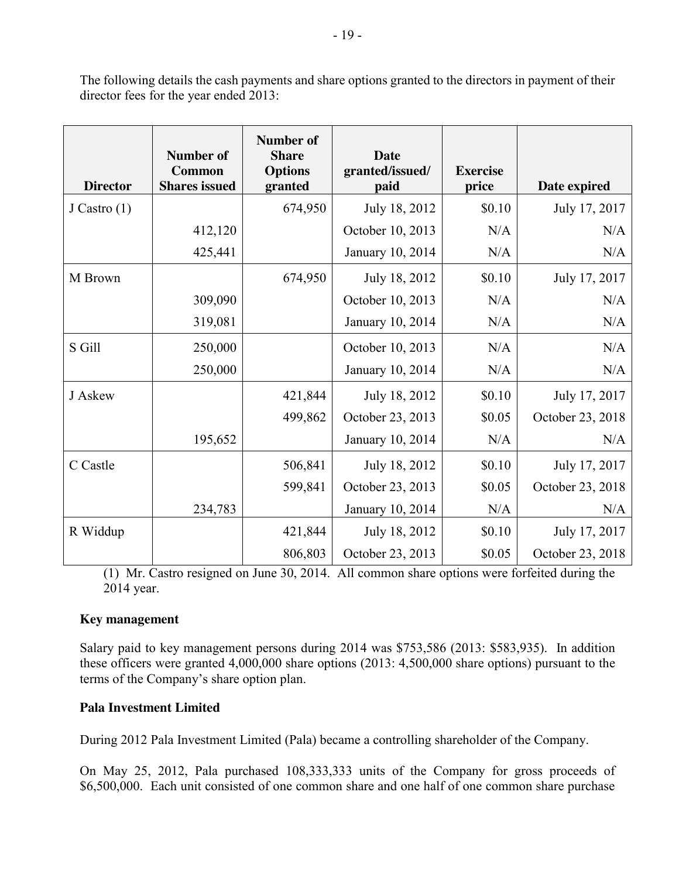The following details the cash payments and share options granted to the directors in payment of their director fees for the year ended 2013:

| <b>Director</b>  | <b>Number of</b><br><b>Common</b><br><b>Shares</b> issued | <b>Number of</b><br><b>Share</b><br><b>Options</b><br>granted | <b>Date</b><br>granted/issued/<br>paid | <b>Exercise</b><br>price | Date expired     |
|------------------|-----------------------------------------------------------|---------------------------------------------------------------|----------------------------------------|--------------------------|------------------|
| $J$ Castro $(1)$ |                                                           | 674,950                                                       | July 18, 2012                          | \$0.10                   | July 17, 2017    |
|                  | 412,120                                                   |                                                               | October 10, 2013                       | N/A                      | N/A              |
|                  | 425,441                                                   |                                                               | January 10, 2014                       | N/A                      | N/A              |
| M Brown          |                                                           | 674,950                                                       | July 18, 2012                          | \$0.10                   | July 17, 2017    |
|                  | 309,090                                                   |                                                               | October 10, 2013                       | N/A                      | N/A              |
|                  | 319,081                                                   |                                                               | January 10, 2014                       | N/A                      | N/A              |
| S Gill           | 250,000                                                   |                                                               | October 10, 2013                       | N/A                      | N/A              |
|                  | 250,000                                                   |                                                               | January 10, 2014                       | N/A                      | N/A              |
| J Askew          |                                                           | 421,844                                                       | July 18, 2012                          | \$0.10                   | July 17, 2017    |
|                  |                                                           | 499,862                                                       | October 23, 2013                       | \$0.05                   | October 23, 2018 |
|                  | 195,652                                                   |                                                               | January 10, 2014                       | N/A                      | N/A              |
| C Castle         |                                                           | 506,841                                                       | July 18, 2012                          | \$0.10                   | July 17, 2017    |
|                  |                                                           | 599,841                                                       | October 23, 2013                       | \$0.05                   | October 23, 2018 |
|                  | 234,783                                                   |                                                               | January 10, 2014                       | N/A                      | N/A              |
| R Widdup         |                                                           | 421,844                                                       | July 18, 2012                          | \$0.10                   | July 17, 2017    |
|                  |                                                           | 806,803                                                       | October 23, 2013                       | \$0.05                   | October 23, 2018 |

(1) Mr. Castro resigned on June 30, 2014. All common share options were forfeited during the 2014 year.

### **Key management**

Salary paid to key management persons during 2014 was \$753,586 (2013: \$583,935). In addition these officers were granted 4,000,000 share options (2013: 4,500,000 share options) pursuant to the terms of the Company's share option plan.

### **Pala Investment Limited**

During 2012 Pala Investment Limited (Pala) became a controlling shareholder of the Company.

On May 25, 2012, Pala purchased 108,333,333 units of the Company for gross proceeds of \$6,500,000. Each unit consisted of one common share and one half of one common share purchase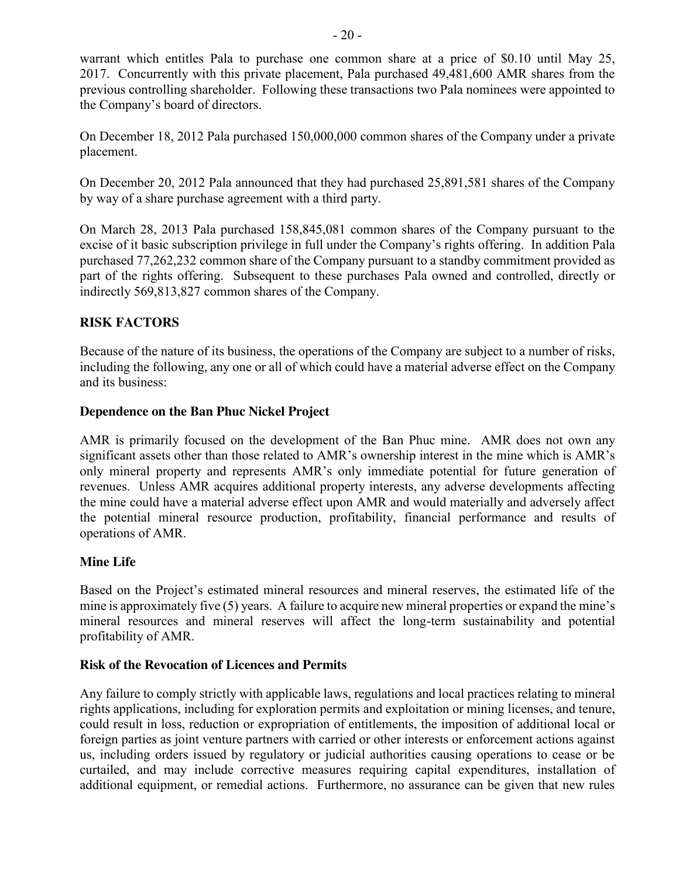warrant which entitles Pala to purchase one common share at a price of \$0.10 until May 25, 2017. Concurrently with this private placement, Pala purchased 49,481,600 AMR shares from the previous controlling shareholder. Following these transactions two Pala nominees were appointed to the Company's board of directors.

On December 18, 2012 Pala purchased 150,000,000 common shares of the Company under a private placement.

On December 20, 2012 Pala announced that they had purchased 25,891,581 shares of the Company by way of a share purchase agreement with a third party.

On March 28, 2013 Pala purchased 158,845,081 common shares of the Company pursuant to the excise of it basic subscription privilege in full under the Company's rights offering. In addition Pala purchased 77,262,232 common share of the Company pursuant to a standby commitment provided as part of the rights offering. Subsequent to these purchases Pala owned and controlled, directly or indirectly 569,813,827 common shares of the Company.

## **RISK FACTORS**

Because of the nature of its business, the operations of the Company are subject to a number of risks, including the following, any one or all of which could have a material adverse effect on the Company and its business:

### **Dependence on the Ban Phuc Nickel Project**

AMR is primarily focused on the development of the Ban Phuc mine. AMR does not own any significant assets other than those related to AMR's ownership interest in the mine which is AMR's only mineral property and represents AMR's only immediate potential for future generation of revenues. Unless AMR acquires additional property interests, any adverse developments affecting the mine could have a material adverse effect upon AMR and would materially and adversely affect the potential mineral resource production, profitability, financial performance and results of operations of AMR.

## **Mine Life**

Based on the Project's estimated mineral resources and mineral reserves, the estimated life of the mine is approximately five (5) years. A failure to acquire new mineral properties or expand the mine's mineral resources and mineral reserves will affect the long-term sustainability and potential profitability of AMR.

### **Risk of the Revocation of Licences and Permits**

Any failure to comply strictly with applicable laws, regulations and local practices relating to mineral rights applications, including for exploration permits and exploitation or mining licenses, and tenure, could result in loss, reduction or expropriation of entitlements, the imposition of additional local or foreign parties as joint venture partners with carried or other interests or enforcement actions against us, including orders issued by regulatory or judicial authorities causing operations to cease or be curtailed, and may include corrective measures requiring capital expenditures, installation of additional equipment, or remedial actions. Furthermore, no assurance can be given that new rules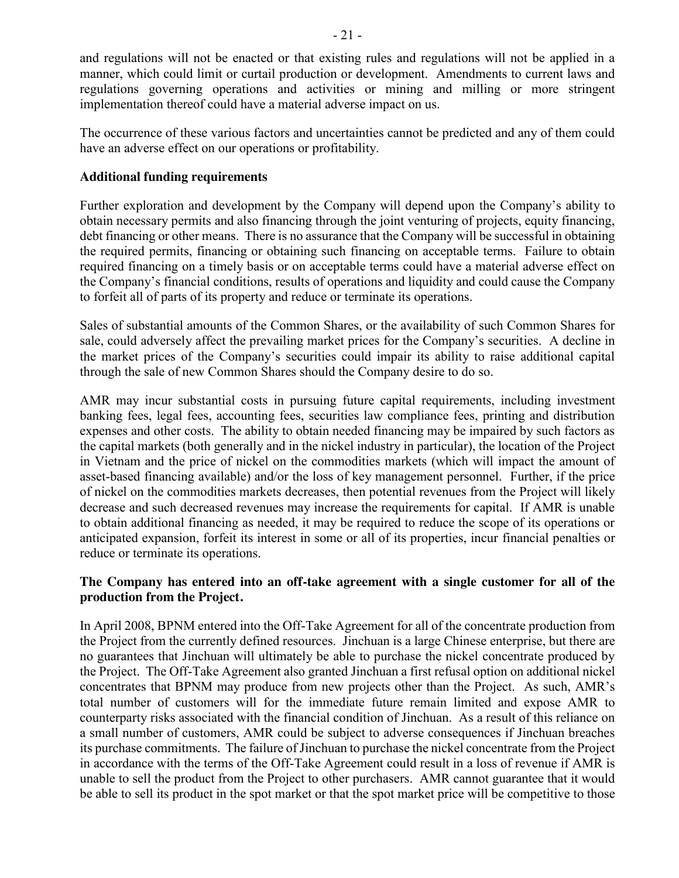and regulations will not be enacted or that existing rules and regulations will not be applied in a manner, which could limit or curtail production or development. Amendments to current laws and regulations governing operations and activities or mining and milling or more stringent implementation thereof could have a material adverse impact on us.

The occurrence of these various factors and uncertainties cannot be predicted and any of them could have an adverse effect on our operations or profitability.

### **Additional funding requirements**

Further exploration and development by the Company will depend upon the Company's ability to obtain necessary permits and also financing through the joint venturing of projects, equity financing, debt financing or other means. There is no assurance that the Company will be successful in obtaining the required permits, financing or obtaining such financing on acceptable terms. Failure to obtain required financing on a timely basis or on acceptable terms could have a material adverse effect on the Company's financial conditions, results of operations and liquidity and could cause the Company to forfeit all of parts of its property and reduce or terminate its operations.

Sales of substantial amounts of the Common Shares, or the availability of such Common Shares for sale, could adversely affect the prevailing market prices for the Company's securities. A decline in the market prices of the Company's securities could impair its ability to raise additional capital through the sale of new Common Shares should the Company desire to do so.

AMR may incur substantial costs in pursuing future capital requirements, including investment banking fees, legal fees, accounting fees, securities law compliance fees, printing and distribution expenses and other costs. The ability to obtain needed financing may be impaired by such factors as the capital markets (both generally and in the nickel industry in particular), the location of the Project in Vietnam and the price of nickel on the commodities markets (which will impact the amount of asset-based financing available) and/or the loss of key management personnel. Further, if the price of nickel on the commodities markets decreases, then potential revenues from the Project will likely decrease and such decreased revenues may increase the requirements for capital. If AMR is unable to obtain additional financing as needed, it may be required to reduce the scope of its operations or anticipated expansion, forfeit its interest in some or all of its properties, incur financial penalties or reduce or terminate its operations.

### **The Company has entered into an off-take agreement with a single customer for all of the production from the Project.**

In April 2008, BPNM entered into the Off-Take Agreement for all of the concentrate production from the Project from the currently defined resources. Jinchuan is a large Chinese enterprise, but there are no guarantees that Jinchuan will ultimately be able to purchase the nickel concentrate produced by the Project. The Off-Take Agreement also granted Jinchuan a first refusal option on additional nickel concentrates that BPNM may produce from new projects other than the Project. As such, AMR's total number of customers will for the immediate future remain limited and expose AMR to counterparty risks associated with the financial condition of Jinchuan. As a result of this reliance on a small number of customers, AMR could be subject to adverse consequences if Jinchuan breaches its purchase commitments. The failure of Jinchuan to purchase the nickel concentrate from the Project in accordance with the terms of the Off-Take Agreement could result in a loss of revenue if AMR is unable to sell the product from the Project to other purchasers. AMR cannot guarantee that it would be able to sell its product in the spot market or that the spot market price will be competitive to those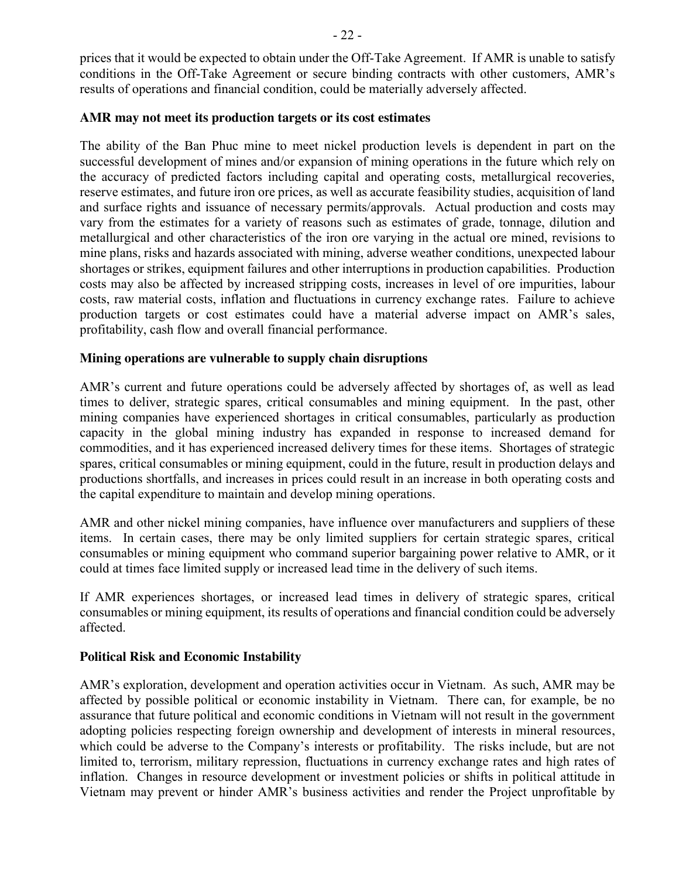prices that it would be expected to obtain under the Off-Take Agreement. If AMR is unable to satisfy conditions in the Off-Take Agreement or secure binding contracts with other customers, AMR's results of operations and financial condition, could be materially adversely affected.

### **AMR may not meet its production targets or its cost estimates**

The ability of the Ban Phuc mine to meet nickel production levels is dependent in part on the successful development of mines and/or expansion of mining operations in the future which rely on the accuracy of predicted factors including capital and operating costs, metallurgical recoveries, reserve estimates, and future iron ore prices, as well as accurate feasibility studies, acquisition of land and surface rights and issuance of necessary permits/approvals. Actual production and costs may vary from the estimates for a variety of reasons such as estimates of grade, tonnage, dilution and metallurgical and other characteristics of the iron ore varying in the actual ore mined, revisions to mine plans, risks and hazards associated with mining, adverse weather conditions, unexpected labour shortages or strikes, equipment failures and other interruptions in production capabilities. Production costs may also be affected by increased stripping costs, increases in level of ore impurities, labour costs, raw material costs, inflation and fluctuations in currency exchange rates. Failure to achieve production targets or cost estimates could have a material adverse impact on AMR's sales, profitability, cash flow and overall financial performance.

### **Mining operations are vulnerable to supply chain disruptions**

AMR's current and future operations could be adversely affected by shortages of, as well as lead times to deliver, strategic spares, critical consumables and mining equipment. In the past, other mining companies have experienced shortages in critical consumables, particularly as production capacity in the global mining industry has expanded in response to increased demand for commodities, and it has experienced increased delivery times for these items. Shortages of strategic spares, critical consumables or mining equipment, could in the future, result in production delays and productions shortfalls, and increases in prices could result in an increase in both operating costs and the capital expenditure to maintain and develop mining operations.

AMR and other nickel mining companies, have influence over manufacturers and suppliers of these items. In certain cases, there may be only limited suppliers for certain strategic spares, critical consumables or mining equipment who command superior bargaining power relative to AMR, or it could at times face limited supply or increased lead time in the delivery of such items.

If AMR experiences shortages, or increased lead times in delivery of strategic spares, critical consumables or mining equipment, its results of operations and financial condition could be adversely affected.

### **Political Risk and Economic Instability**

AMR's exploration, development and operation activities occur in Vietnam. As such, AMR may be affected by possible political or economic instability in Vietnam. There can, for example, be no assurance that future political and economic conditions in Vietnam will not result in the government adopting policies respecting foreign ownership and development of interests in mineral resources, which could be adverse to the Company's interests or profitability. The risks include, but are not limited to, terrorism, military repression, fluctuations in currency exchange rates and high rates of inflation. Changes in resource development or investment policies or shifts in political attitude in Vietnam may prevent or hinder AMR's business activities and render the Project unprofitable by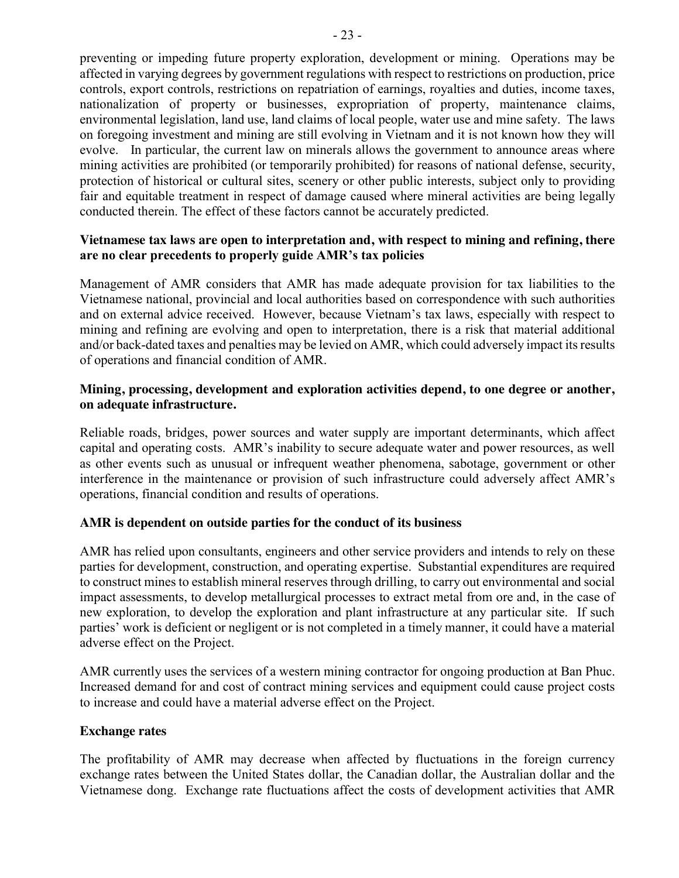preventing or impeding future property exploration, development or mining. Operations may be affected in varying degrees by government regulations with respect to restrictions on production, price controls, export controls, restrictions on repatriation of earnings, royalties and duties, income taxes, nationalization of property or businesses, expropriation of property, maintenance claims, environmental legislation, land use, land claims of local people, water use and mine safety. The laws on foregoing investment and mining are still evolving in Vietnam and it is not known how they will evolve. In particular, the current law on minerals allows the government to announce areas where mining activities are prohibited (or temporarily prohibited) for reasons of national defense, security, protection of historical or cultural sites, scenery or other public interests, subject only to providing fair and equitable treatment in respect of damage caused where mineral activities are being legally conducted therein. The effect of these factors cannot be accurately predicted.

### **Vietnamese tax laws are open to interpretation and, with respect to mining and refining, there are no clear precedents to properly guide AMR's tax policies**

Management of AMR considers that AMR has made adequate provision for tax liabilities to the Vietnamese national, provincial and local authorities based on correspondence with such authorities and on external advice received. However, because Vietnam's tax laws, especially with respect to mining and refining are evolving and open to interpretation, there is a risk that material additional and/or back-dated taxes and penalties may be levied on AMR, which could adversely impact its results of operations and financial condition of AMR.

### **Mining, processing, development and exploration activities depend, to one degree or another, on adequate infrastructure.**

Reliable roads, bridges, power sources and water supply are important determinants, which affect capital and operating costs. AMR's inability to secure adequate water and power resources, as well as other events such as unusual or infrequent weather phenomena, sabotage, government or other interference in the maintenance or provision of such infrastructure could adversely affect AMR's operations, financial condition and results of operations.

## **AMR is dependent on outside parties for the conduct of its business**

AMR has relied upon consultants, engineers and other service providers and intends to rely on these parties for development, construction, and operating expertise. Substantial expenditures are required to construct mines to establish mineral reserves through drilling, to carry out environmental and social impact assessments, to develop metallurgical processes to extract metal from ore and, in the case of new exploration, to develop the exploration and plant infrastructure at any particular site. If such parties' work is deficient or negligent or is not completed in a timely manner, it could have a material adverse effect on the Project.

AMR currently uses the services of a western mining contractor for ongoing production at Ban Phuc. Increased demand for and cost of contract mining services and equipment could cause project costs to increase and could have a material adverse effect on the Project.

### **Exchange rates**

The profitability of AMR may decrease when affected by fluctuations in the foreign currency exchange rates between the United States dollar, the Canadian dollar, the Australian dollar and the Vietnamese dong. Exchange rate fluctuations affect the costs of development activities that AMR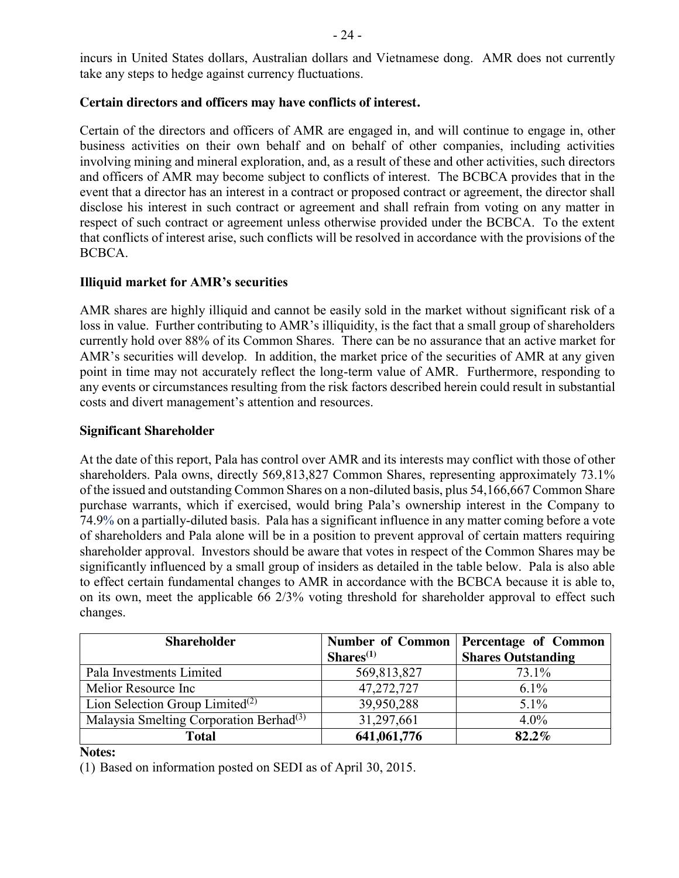incurs in United States dollars, Australian dollars and Vietnamese dong. AMR does not currently take any steps to hedge against currency fluctuations.

## **Certain directors and officers may have conflicts of interest.**

Certain of the directors and officers of AMR are engaged in, and will continue to engage in, other business activities on their own behalf and on behalf of other companies, including activities involving mining and mineral exploration, and, as a result of these and other activities, such directors and officers of AMR may become subject to conflicts of interest. The BCBCA provides that in the event that a director has an interest in a contract or proposed contract or agreement, the director shall disclose his interest in such contract or agreement and shall refrain from voting on any matter in respect of such contract or agreement unless otherwise provided under the BCBCA. To the extent that conflicts of interest arise, such conflicts will be resolved in accordance with the provisions of the BCBCA.

### **Illiquid market for AMR's securities**

AMR shares are highly illiquid and cannot be easily sold in the market without significant risk of a loss in value. Further contributing to AMR's illiquidity, is the fact that a small group of shareholders currently hold over 88% of its Common Shares. There can be no assurance that an active market for AMR's securities will develop. In addition, the market price of the securities of AMR at any given point in time may not accurately reflect the long-term value of AMR. Furthermore, responding to any events or circumstances resulting from the risk factors described herein could result in substantial costs and divert management's attention and resources.

### **Significant Shareholder**

At the date of this report, Pala has control over AMR and its interests may conflict with those of other shareholders. Pala owns, directly 569,813,827 Common Shares, representing approximately 73.1% of the issued and outstanding Common Shares on a non-diluted basis, plus 54,166,667 Common Share purchase warrants, which if exercised, would bring Pala's ownership interest in the Company to 74.9% on a partially-diluted basis. Pala has a significant influence in any matter coming before a vote of shareholders and Pala alone will be in a position to prevent approval of certain matters requiring shareholder approval. Investors should be aware that votes in respect of the Common Shares may be significantly influenced by a small group of insiders as detailed in the table below. Pala is also able to effect certain fundamental changes to AMR in accordance with the BCBCA because it is able to, on its own, meet the applicable 66 2/3% voting threshold for shareholder approval to effect such changes.

| <b>Shareholder</b>                                  | <b>Number of Common</b> | Percentage of Common      |
|-----------------------------------------------------|-------------------------|---------------------------|
|                                                     | $Shares^{(1)}$          | <b>Shares Outstanding</b> |
| Pala Investments Limited                            | 569,813,827             | 73.1%                     |
| Melior Resource Inc                                 | 47,272,727              | $6.1\%$                   |
| Lion Selection Group Limited <sup>(2)</sup>         | 39,950,288              | $5.1\%$                   |
| Malaysia Smelting Corporation Berhad <sup>(3)</sup> | 31,297,661              | $4.0\%$                   |
| <b>Total</b>                                        | 641,061,776             | 82.2%                     |

#### **Notes:**

(1) Based on information posted on SEDI as of April 30, 2015.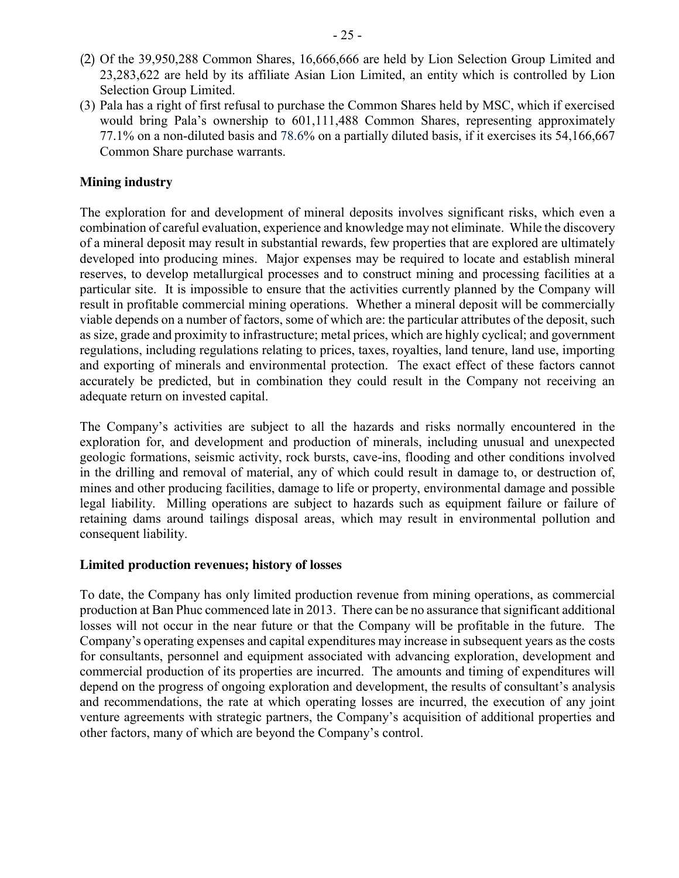- (2) Of the 39,950,288 Common Shares, 16,666,666 are held by Lion Selection Group Limited and 23,283,622 are held by its affiliate Asian Lion Limited, an entity which is controlled by Lion Selection Group Limited.
- (3) Pala has a right of first refusal to purchase the Common Shares held by MSC, which if exercised would bring Pala's ownership to 601,111,488 Common Shares, representing approximately 77.1% on a non-diluted basis and 78.6% on a partially diluted basis, if it exercises its 54,166,667 Common Share purchase warrants.

### **Mining industry**

The exploration for and development of mineral deposits involves significant risks, which even a combination of careful evaluation, experience and knowledge may not eliminate. While the discovery of a mineral deposit may result in substantial rewards, few properties that are explored are ultimately developed into producing mines. Major expenses may be required to locate and establish mineral reserves, to develop metallurgical processes and to construct mining and processing facilities at a particular site. It is impossible to ensure that the activities currently planned by the Company will result in profitable commercial mining operations. Whether a mineral deposit will be commercially viable depends on a number of factors, some of which are: the particular attributes of the deposit, such as size, grade and proximity to infrastructure; metal prices, which are highly cyclical; and government regulations, including regulations relating to prices, taxes, royalties, land tenure, land use, importing and exporting of minerals and environmental protection. The exact effect of these factors cannot accurately be predicted, but in combination they could result in the Company not receiving an adequate return on invested capital.

The Company's activities are subject to all the hazards and risks normally encountered in the exploration for, and development and production of minerals, including unusual and unexpected geologic formations, seismic activity, rock bursts, cave-ins, flooding and other conditions involved in the drilling and removal of material, any of which could result in damage to, or destruction of, mines and other producing facilities, damage to life or property, environmental damage and possible legal liability. Milling operations are subject to hazards such as equipment failure or failure of retaining dams around tailings disposal areas, which may result in environmental pollution and consequent liability.

### **Limited production revenues; history of losses**

To date, the Company has only limited production revenue from mining operations, as commercial production at Ban Phuc commenced late in 2013. There can be no assurance that significant additional losses will not occur in the near future or that the Company will be profitable in the future. The Company's operating expenses and capital expenditures may increase in subsequent years as the costs for consultants, personnel and equipment associated with advancing exploration, development and commercial production of its properties are incurred. The amounts and timing of expenditures will depend on the progress of ongoing exploration and development, the results of consultant's analysis and recommendations, the rate at which operating losses are incurred, the execution of any joint venture agreements with strategic partners, the Company's acquisition of additional properties and other factors, many of which are beyond the Company's control.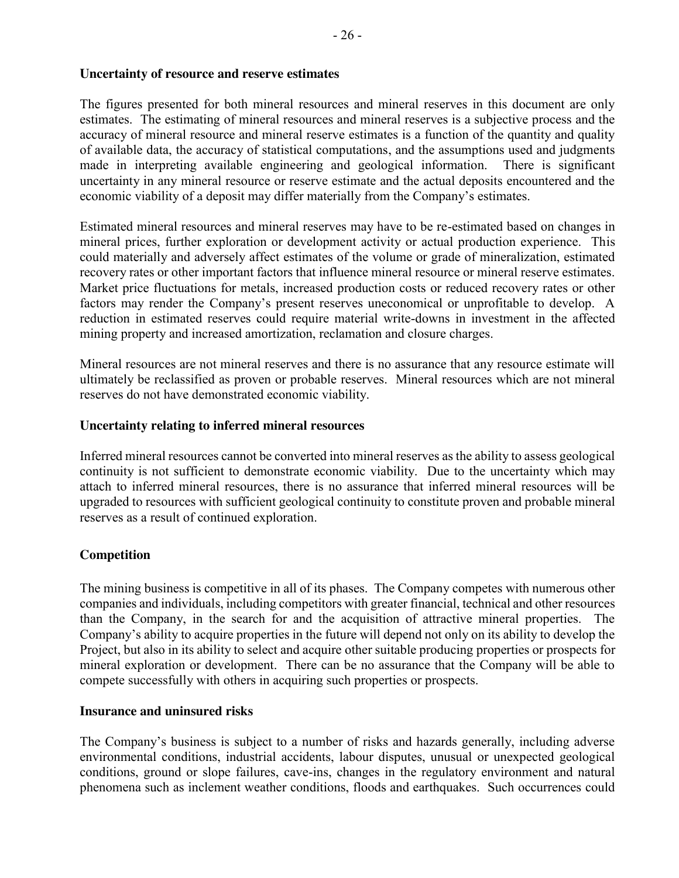### **Uncertainty of resource and reserve estimates**

The figures presented for both mineral resources and mineral reserves in this document are only estimates. The estimating of mineral resources and mineral reserves is a subjective process and the accuracy of mineral resource and mineral reserve estimates is a function of the quantity and quality of available data, the accuracy of statistical computations, and the assumptions used and judgments made in interpreting available engineering and geological information. There is significant uncertainty in any mineral resource or reserve estimate and the actual deposits encountered and the economic viability of a deposit may differ materially from the Company's estimates.

Estimated mineral resources and mineral reserves may have to be re-estimated based on changes in mineral prices, further exploration or development activity or actual production experience. This could materially and adversely affect estimates of the volume or grade of mineralization, estimated recovery rates or other important factors that influence mineral resource or mineral reserve estimates. Market price fluctuations for metals, increased production costs or reduced recovery rates or other factors may render the Company's present reserves uneconomical or unprofitable to develop. A reduction in estimated reserves could require material write-downs in investment in the affected mining property and increased amortization, reclamation and closure charges.

Mineral resources are not mineral reserves and there is no assurance that any resource estimate will ultimately be reclassified as proven or probable reserves. Mineral resources which are not mineral reserves do not have demonstrated economic viability.

#### **Uncertainty relating to inferred mineral resources**

Inferred mineral resources cannot be converted into mineral reserves as the ability to assess geological continuity is not sufficient to demonstrate economic viability. Due to the uncertainty which may attach to inferred mineral resources, there is no assurance that inferred mineral resources will be upgraded to resources with sufficient geological continuity to constitute proven and probable mineral reserves as a result of continued exploration.

### **Competition**

The mining business is competitive in all of its phases. The Company competes with numerous other companies and individuals, including competitors with greater financial, technical and other resources than the Company, in the search for and the acquisition of attractive mineral properties. The Company's ability to acquire properties in the future will depend not only on its ability to develop the Project, but also in its ability to select and acquire other suitable producing properties or prospects for mineral exploration or development. There can be no assurance that the Company will be able to compete successfully with others in acquiring such properties or prospects.

### **Insurance and uninsured risks**

The Company's business is subject to a number of risks and hazards generally, including adverse environmental conditions, industrial accidents, labour disputes, unusual or unexpected geological conditions, ground or slope failures, cave-ins, changes in the regulatory environment and natural phenomena such as inclement weather conditions, floods and earthquakes. Such occurrences could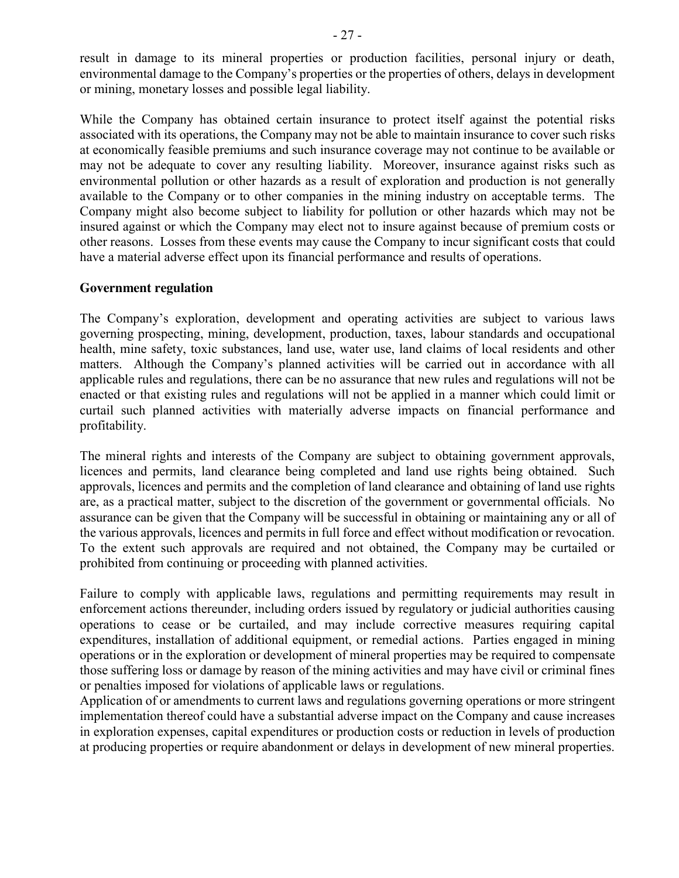result in damage to its mineral properties or production facilities, personal injury or death, environmental damage to the Company's properties or the properties of others, delays in development or mining, monetary losses and possible legal liability.

While the Company has obtained certain insurance to protect itself against the potential risks associated with its operations, the Company may not be able to maintain insurance to cover such risks at economically feasible premiums and such insurance coverage may not continue to be available or may not be adequate to cover any resulting liability. Moreover, insurance against risks such as environmental pollution or other hazards as a result of exploration and production is not generally available to the Company or to other companies in the mining industry on acceptable terms. The Company might also become subject to liability for pollution or other hazards which may not be insured against or which the Company may elect not to insure against because of premium costs or other reasons. Losses from these events may cause the Company to incur significant costs that could have a material adverse effect upon its financial performance and results of operations.

### **Government regulation**

The Company's exploration, development and operating activities are subject to various laws governing prospecting, mining, development, production, taxes, labour standards and occupational health, mine safety, toxic substances, land use, water use, land claims of local residents and other matters. Although the Company's planned activities will be carried out in accordance with all applicable rules and regulations, there can be no assurance that new rules and regulations will not be enacted or that existing rules and regulations will not be applied in a manner which could limit or curtail such planned activities with materially adverse impacts on financial performance and profitability.

The mineral rights and interests of the Company are subject to obtaining government approvals, licences and permits, land clearance being completed and land use rights being obtained. Such approvals, licences and permits and the completion of land clearance and obtaining of land use rights are, as a practical matter, subject to the discretion of the government or governmental officials. No assurance can be given that the Company will be successful in obtaining or maintaining any or all of the various approvals, licences and permits in full force and effect without modification or revocation. To the extent such approvals are required and not obtained, the Company may be curtailed or prohibited from continuing or proceeding with planned activities.

Failure to comply with applicable laws, regulations and permitting requirements may result in enforcement actions thereunder, including orders issued by regulatory or judicial authorities causing operations to cease or be curtailed, and may include corrective measures requiring capital expenditures, installation of additional equipment, or remedial actions. Parties engaged in mining operations or in the exploration or development of mineral properties may be required to compensate those suffering loss or damage by reason of the mining activities and may have civil or criminal fines or penalties imposed for violations of applicable laws or regulations.

Application of or amendments to current laws and regulations governing operations or more stringent implementation thereof could have a substantial adverse impact on the Company and cause increases in exploration expenses, capital expenditures or production costs or reduction in levels of production at producing properties or require abandonment or delays in development of new mineral properties.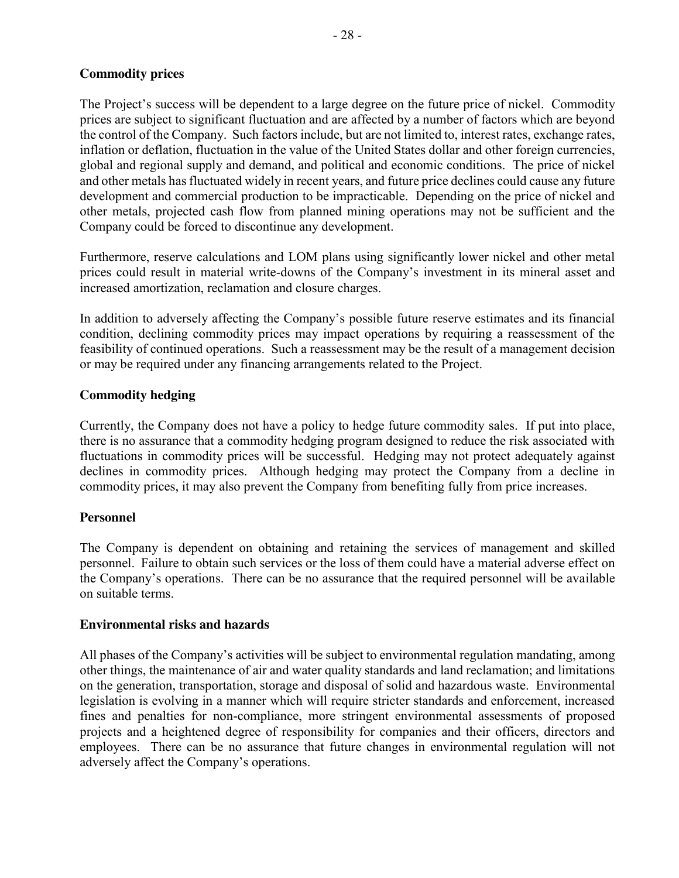## **Commodity prices**

The Project's success will be dependent to a large degree on the future price of nickel. Commodity prices are subject to significant fluctuation and are affected by a number of factors which are beyond the control of the Company. Such factors include, but are not limited to, interest rates, exchange rates, inflation or deflation, fluctuation in the value of the United States dollar and other foreign currencies, global and regional supply and demand, and political and economic conditions. The price of nickel and other metals has fluctuated widely in recent years, and future price declines could cause any future development and commercial production to be impracticable. Depending on the price of nickel and other metals, projected cash flow from planned mining operations may not be sufficient and the Company could be forced to discontinue any development.

Furthermore, reserve calculations and LOM plans using significantly lower nickel and other metal prices could result in material write-downs of the Company's investment in its mineral asset and increased amortization, reclamation and closure charges.

In addition to adversely affecting the Company's possible future reserve estimates and its financial condition, declining commodity prices may impact operations by requiring a reassessment of the feasibility of continued operations. Such a reassessment may be the result of a management decision or may be required under any financing arrangements related to the Project.

### **Commodity hedging**

Currently, the Company does not have a policy to hedge future commodity sales. If put into place, there is no assurance that a commodity hedging program designed to reduce the risk associated with fluctuations in commodity prices will be successful. Hedging may not protect adequately against declines in commodity prices. Although hedging may protect the Company from a decline in commodity prices, it may also prevent the Company from benefiting fully from price increases.

### **Personnel**

The Company is dependent on obtaining and retaining the services of management and skilled personnel. Failure to obtain such services or the loss of them could have a material adverse effect on the Company's operations. There can be no assurance that the required personnel will be available on suitable terms.

### **Environmental risks and hazards**

All phases of the Company's activities will be subject to environmental regulation mandating, among other things, the maintenance of air and water quality standards and land reclamation; and limitations on the generation, transportation, storage and disposal of solid and hazardous waste. Environmental legislation is evolving in a manner which will require stricter standards and enforcement, increased fines and penalties for non-compliance, more stringent environmental assessments of proposed projects and a heightened degree of responsibility for companies and their officers, directors and employees. There can be no assurance that future changes in environmental regulation will not adversely affect the Company's operations.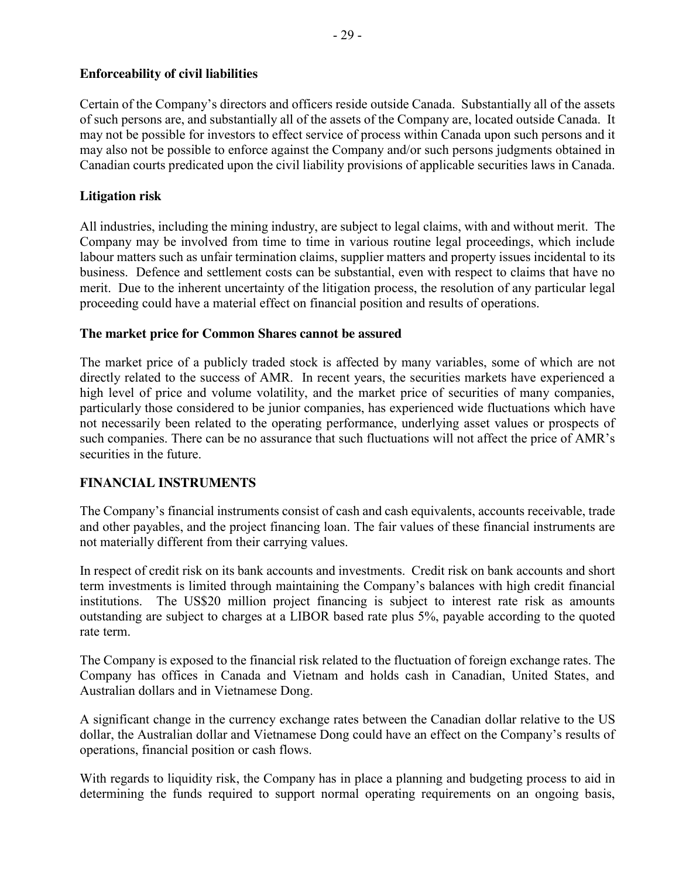## **Enforceability of civil liabilities**

Certain of the Company's directors and officers reside outside Canada. Substantially all of the assets of such persons are, and substantially all of the assets of the Company are, located outside Canada. It may not be possible for investors to effect service of process within Canada upon such persons and it may also not be possible to enforce against the Company and/or such persons judgments obtained in Canadian courts predicated upon the civil liability provisions of applicable securities laws in Canada.

## **Litigation risk**

All industries, including the mining industry, are subject to legal claims, with and without merit. The Company may be involved from time to time in various routine legal proceedings, which include labour matters such as unfair termination claims, supplier matters and property issues incidental to its business. Defence and settlement costs can be substantial, even with respect to claims that have no merit. Due to the inherent uncertainty of the litigation process, the resolution of any particular legal proceeding could have a material effect on financial position and results of operations.

## **The market price for Common Shares cannot be assured**

The market price of a publicly traded stock is affected by many variables, some of which are not directly related to the success of AMR. In recent years, the securities markets have experienced a high level of price and volume volatility, and the market price of securities of many companies, particularly those considered to be junior companies, has experienced wide fluctuations which have not necessarily been related to the operating performance, underlying asset values or prospects of such companies. There can be no assurance that such fluctuations will not affect the price of AMR's securities in the future.

# **FINANCIAL INSTRUMENTS**

The Company's financial instruments consist of cash and cash equivalents, accounts receivable, trade and other payables, and the project financing loan. The fair values of these financial instruments are not materially different from their carrying values.

In respect of credit risk on its bank accounts and investments. Credit risk on bank accounts and short term investments is limited through maintaining the Company's balances with high credit financial institutions. The US\$20 million project financing is subject to interest rate risk as amounts outstanding are subject to charges at a LIBOR based rate plus 5%, payable according to the quoted rate term.

The Company is exposed to the financial risk related to the fluctuation of foreign exchange rates. The Company has offices in Canada and Vietnam and holds cash in Canadian, United States, and Australian dollars and in Vietnamese Dong.

A significant change in the currency exchange rates between the Canadian dollar relative to the US dollar, the Australian dollar and Vietnamese Dong could have an effect on the Company's results of operations, financial position or cash flows.

With regards to liquidity risk, the Company has in place a planning and budgeting process to aid in determining the funds required to support normal operating requirements on an ongoing basis,